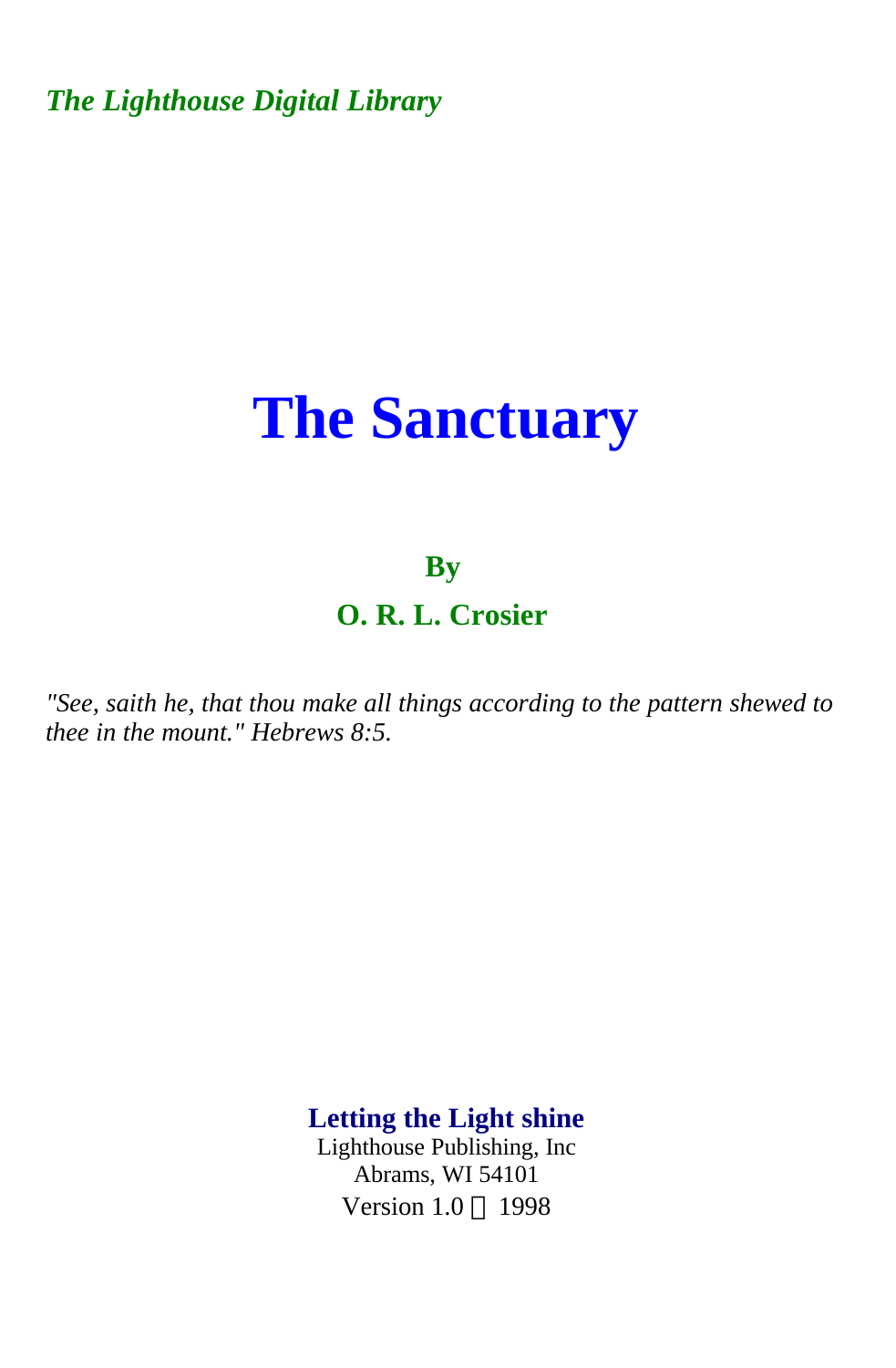*The Lighthouse Digital Library* 

# **The Sanctuary**

### **By**

**O. R. L. Crosier** 

*"See, saith he, that thou make all things according to the pattern shewed to thee in the mount." Hebrews 8:5.* 

> **Letting the Light shine**  Lighthouse Publishing, Inc Abrams, WI 54101 Version 1.0 © 1998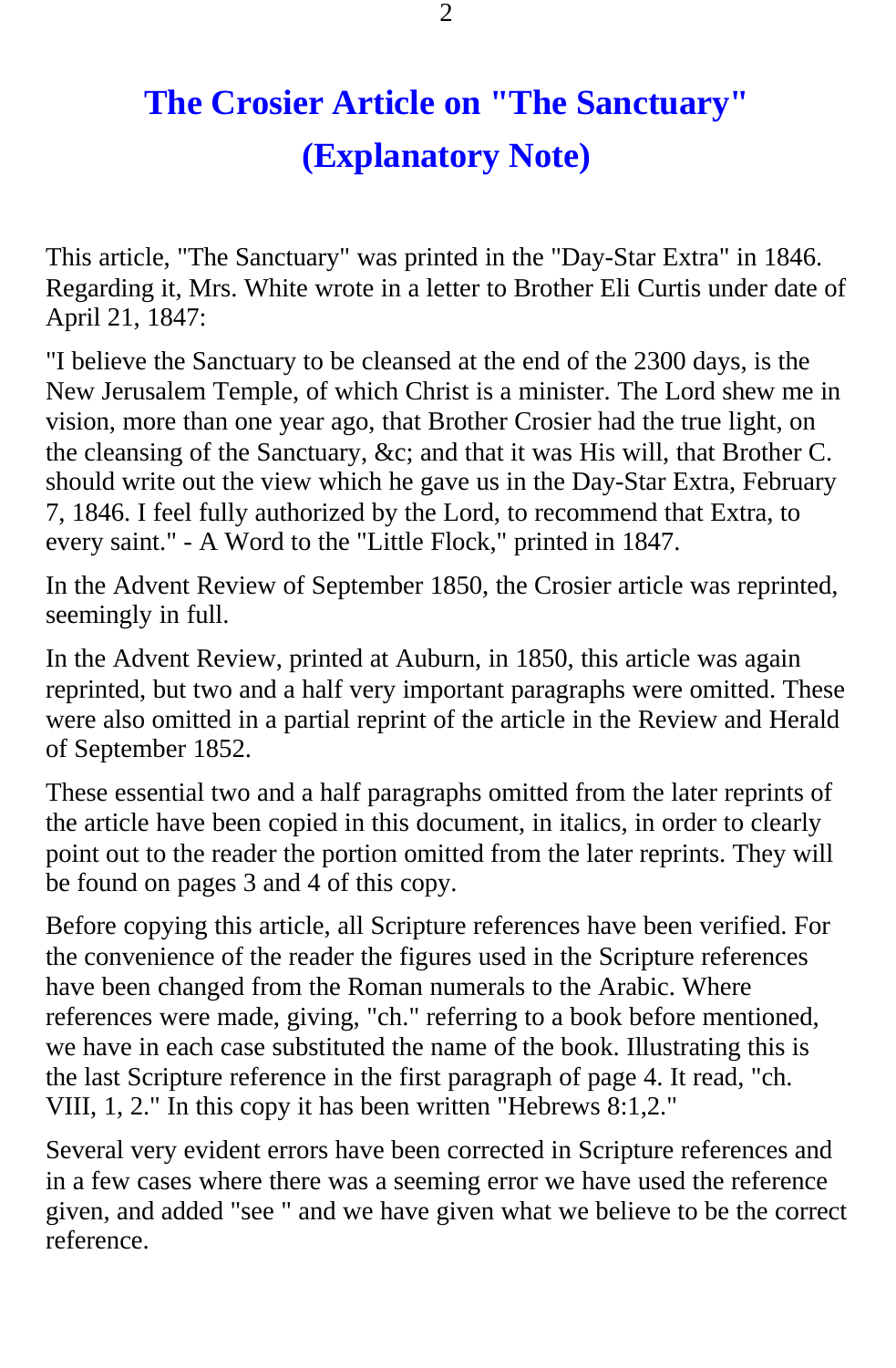# **The Crosier Article on "The Sanctuary" (Explanatory Note)**

This article, "The Sanctuary" was printed in the "Day-Star Extra" in 1846. Regarding it, Mrs. White wrote in a letter to Brother Eli Curtis under date of April 21, 1847:

"I believe the Sanctuary to be cleansed at the end of the 2300 days, is the New Jerusalem Temple, of which Christ is a minister. The Lord shew me in vision, more than one year ago, that Brother Crosier had the true light, on the cleansing of the Sanctuary, &c; and that it was His will, that Brother C. should write out the view which he gave us in the Day-Star Extra, February 7, 1846. I feel fully authorized by the Lord, to recommend that Extra, to every saint." - A Word to the "Little Flock," printed in 1847.

In the Advent Review of September 1850, the Crosier article was reprinted, seemingly in full.

In the Advent Review, printed at Auburn, in 1850, this article was again reprinted, but two and a half very important paragraphs were omitted. These were also omitted in a partial reprint of the article in the Review and Herald of September 1852.

These essential two and a half paragraphs omitted from the later reprints of the article have been copied in this document, in italics, in order to clearly point out to the reader the portion omitted from the later reprints. They will be found on pages 3 and 4 of this copy.

Before copying this article, all Scripture references have been verified. For the convenience of the reader the figures used in the Scripture references have been changed from the Roman numerals to the Arabic. Where references were made, giving, "ch." referring to a book before mentioned, we have in each case substituted the name of the book. Illustrating this is the last Scripture reference in the first paragraph of page 4. It read, "ch. VIII, 1, 2." In this copy it has been written "Hebrews 8:1,2."

Several very evident errors have been corrected in Scripture references and in a few cases where there was a seeming error we have used the reference given, and added "see " and we have given what we believe to be the correct reference.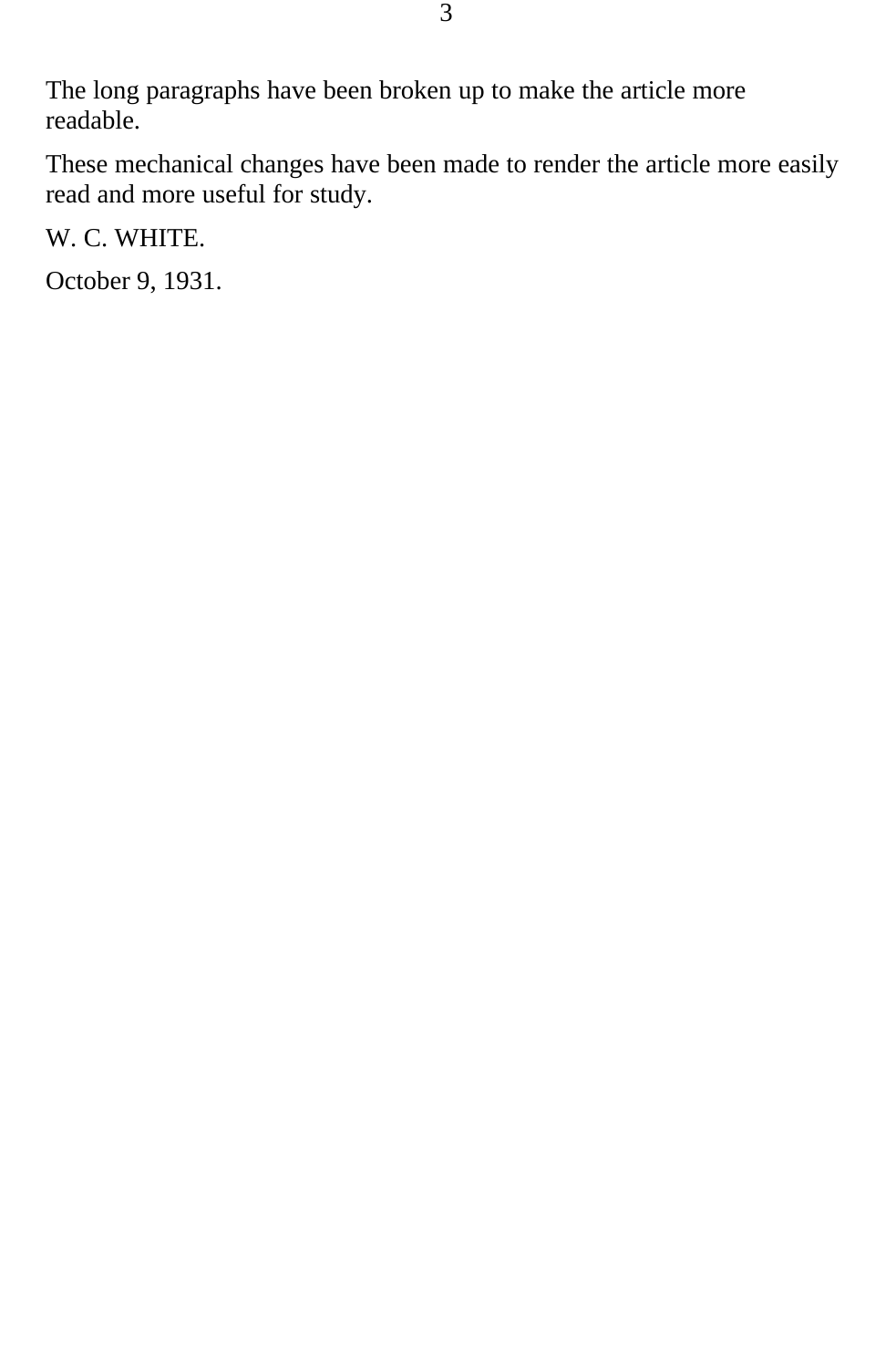The long paragraphs have been broken up to make the article more readable.

These mechanical changes have been made to render the article more easily read and more useful for study.

W. C. WHITE.

October 9, 1931.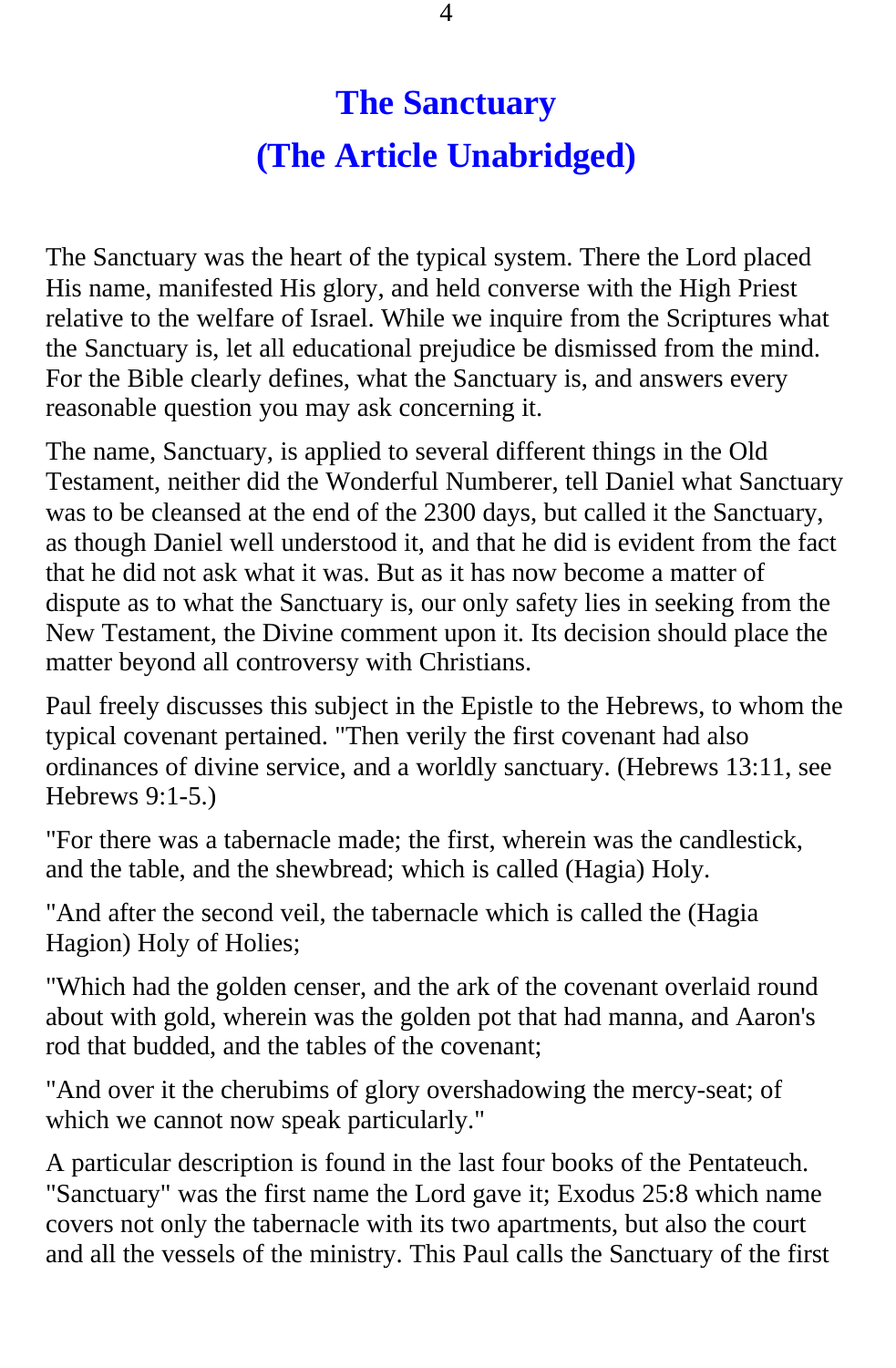## **The Sanctuary (The Article Unabridged)**

The Sanctuary was the heart of the typical system. There the Lord placed His name, manifested His glory, and held converse with the High Priest relative to the welfare of Israel. While we inquire from the Scriptures what the Sanctuary is, let all educational prejudice be dismissed from the mind. For the Bible clearly defines, what the Sanctuary is, and answers every reasonable question you may ask concerning it.

The name, Sanctuary, is applied to several different things in the Old Testament, neither did the Wonderful Numberer, tell Daniel what Sanctuary was to be cleansed at the end of the 2300 days, but called it the Sanctuary, as though Daniel well understood it, and that he did is evident from the fact that he did not ask what it was. But as it has now become a matter of dispute as to what the Sanctuary is, our only safety lies in seeking from the New Testament, the Divine comment upon it. Its decision should place the matter beyond all controversy with Christians.

Paul freely discusses this subject in the Epistle to the Hebrews, to whom the typical covenant pertained. "Then verily the first covenant had also ordinances of divine service, and a worldly sanctuary. (Hebrews 13:11, see Hebrews 9:1-5.)

"For there was a tabernacle made; the first, wherein was the candlestick, and the table, and the shewbread; which is called (Hagia) Holy.

"And after the second veil, the tabernacle which is called the (Hagia Hagion) Holy of Holies;

"Which had the golden censer, and the ark of the covenant overlaid round about with gold, wherein was the golden pot that had manna, and Aaron's rod that budded, and the tables of the covenant;

"And over it the cherubims of glory overshadowing the mercy-seat; of which we cannot now speak particularly."

A particular description is found in the last four books of the Pentateuch. "Sanctuary" was the first name the Lord gave it; Exodus 25:8 which name covers not only the tabernacle with its two apartments, but also the court and all the vessels of the ministry. This Paul calls the Sanctuary of the first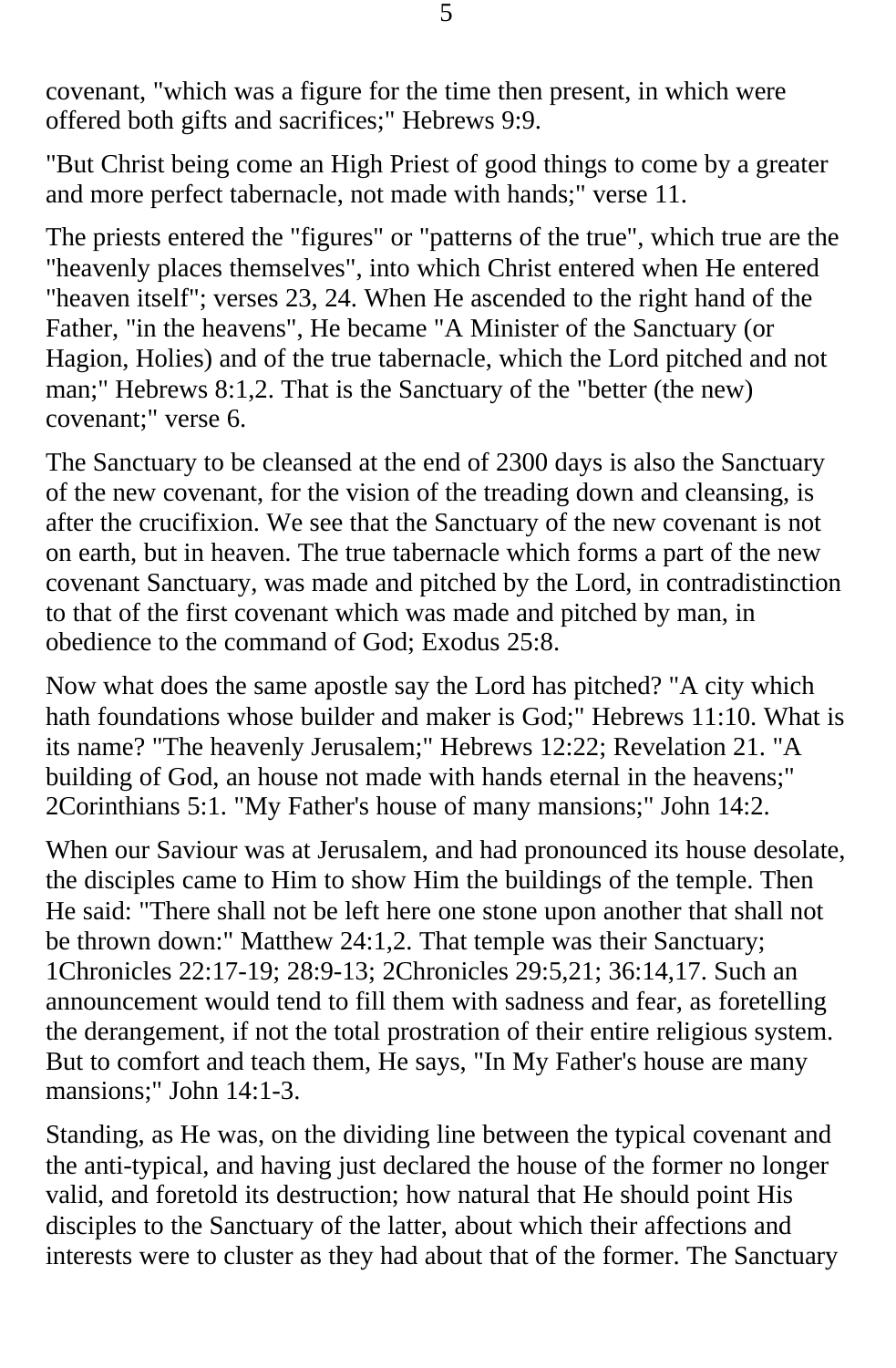covenant, "which was a figure for the time then present, in which were offered both gifts and sacrifices;" Hebrews 9:9.

"But Christ being come an High Priest of good things to come by a greater and more perfect tabernacle, not made with hands;" verse 11.

The priests entered the "figures" or "patterns of the true", which true are the "heavenly places themselves", into which Christ entered when He entered "heaven itself"; verses 23, 24. When He ascended to the right hand of the Father, "in the heavens", He became "A Minister of the Sanctuary (or Hagion, Holies) and of the true tabernacle, which the Lord pitched and not man;" Hebrews 8:1,2. That is the Sanctuary of the "better (the new) covenant;" verse 6.

The Sanctuary to be cleansed at the end of 2300 days is also the Sanctuary of the new covenant, for the vision of the treading down and cleansing, is after the crucifixion. We see that the Sanctuary of the new covenant is not on earth, but in heaven. The true tabernacle which forms a part of the new covenant Sanctuary, was made and pitched by the Lord, in contradistinction to that of the first covenant which was made and pitched by man, in obedience to the command of God; Exodus 25:8.

Now what does the same apostle say the Lord has pitched? "A city which hath foundations whose builder and maker is God;" Hebrews 11:10. What is its name? "The heavenly Jerusalem;" Hebrews 12:22; Revelation 21. "A building of God, an house not made with hands eternal in the heavens;" 2Corinthians 5:1. "My Father's house of many mansions;" John 14:2.

When our Saviour was at Jerusalem, and had pronounced its house desolate, the disciples came to Him to show Him the buildings of the temple. Then He said: "There shall not be left here one stone upon another that shall not be thrown down:" Matthew 24:1,2. That temple was their Sanctuary; 1Chronicles 22:17-19; 28:9-13; 2Chronicles 29:5,21; 36:14,17. Such an announcement would tend to fill them with sadness and fear, as foretelling the derangement, if not the total prostration of their entire religious system. But to comfort and teach them, He says, "In My Father's house are many mansions;" John 14:1-3.

Standing, as He was, on the dividing line between the typical covenant and the anti-typical, and having just declared the house of the former no longer valid, and foretold its destruction; how natural that He should point His disciples to the Sanctuary of the latter, about which their affections and interests were to cluster as they had about that of the former. The Sanctuary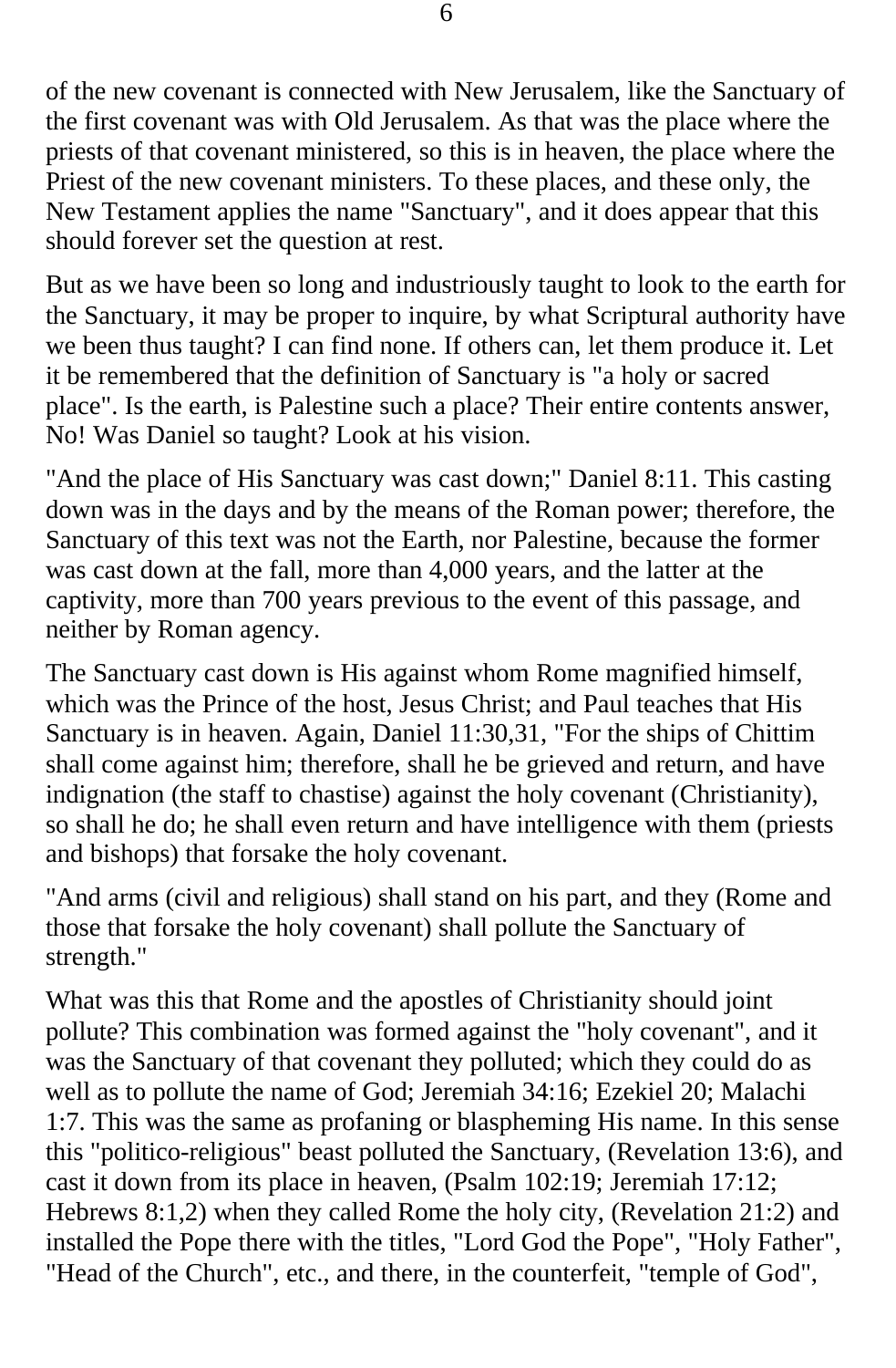of the new covenant is connected with New Jerusalem, like the Sanctuary of the first covenant was with Old Jerusalem. As that was the place where the priests of that covenant ministered, so this is in heaven, the place where the Priest of the new covenant ministers. To these places, and these only, the New Testament applies the name "Sanctuary", and it does appear that this should forever set the question at rest.

But as we have been so long and industriously taught to look to the earth for the Sanctuary, it may be proper to inquire, by what Scriptural authority have we been thus taught? I can find none. If others can, let them produce it. Let it be remembered that the definition of Sanctuary is "a holy or sacred place". Is the earth, is Palestine such a place? Their entire contents answer, No! Was Daniel so taught? Look at his vision.

"And the place of His Sanctuary was cast down;" Daniel 8:11. This casting down was in the days and by the means of the Roman power; therefore, the Sanctuary of this text was not the Earth, nor Palestine, because the former was cast down at the fall, more than 4,000 years, and the latter at the captivity, more than 700 years previous to the event of this passage, and neither by Roman agency.

The Sanctuary cast down is His against whom Rome magnified himself, which was the Prince of the host, Jesus Christ; and Paul teaches that His Sanctuary is in heaven. Again, Daniel 11:30,31, "For the ships of Chittim shall come against him; therefore, shall he be grieved and return, and have indignation (the staff to chastise) against the holy covenant (Christianity), so shall he do; he shall even return and have intelligence with them (priests and bishops) that forsake the holy covenant.

"And arms (civil and religious) shall stand on his part, and they (Rome and those that forsake the holy covenant) shall pollute the Sanctuary of strength."

What was this that Rome and the apostles of Christianity should joint pollute? This combination was formed against the "holy covenant", and it was the Sanctuary of that covenant they polluted; which they could do as well as to pollute the name of God; Jeremiah 34:16; Ezekiel 20; Malachi 1:7. This was the same as profaning or blaspheming His name. In this sense this "politico-religious" beast polluted the Sanctuary, (Revelation 13:6), and cast it down from its place in heaven, (Psalm 102:19; Jeremiah 17:12; Hebrews 8:1,2) when they called Rome the holy city, (Revelation 21:2) and installed the Pope there with the titles, "Lord God the Pope", "Holy Father", "Head of the Church", etc., and there, in the counterfeit, "temple of God",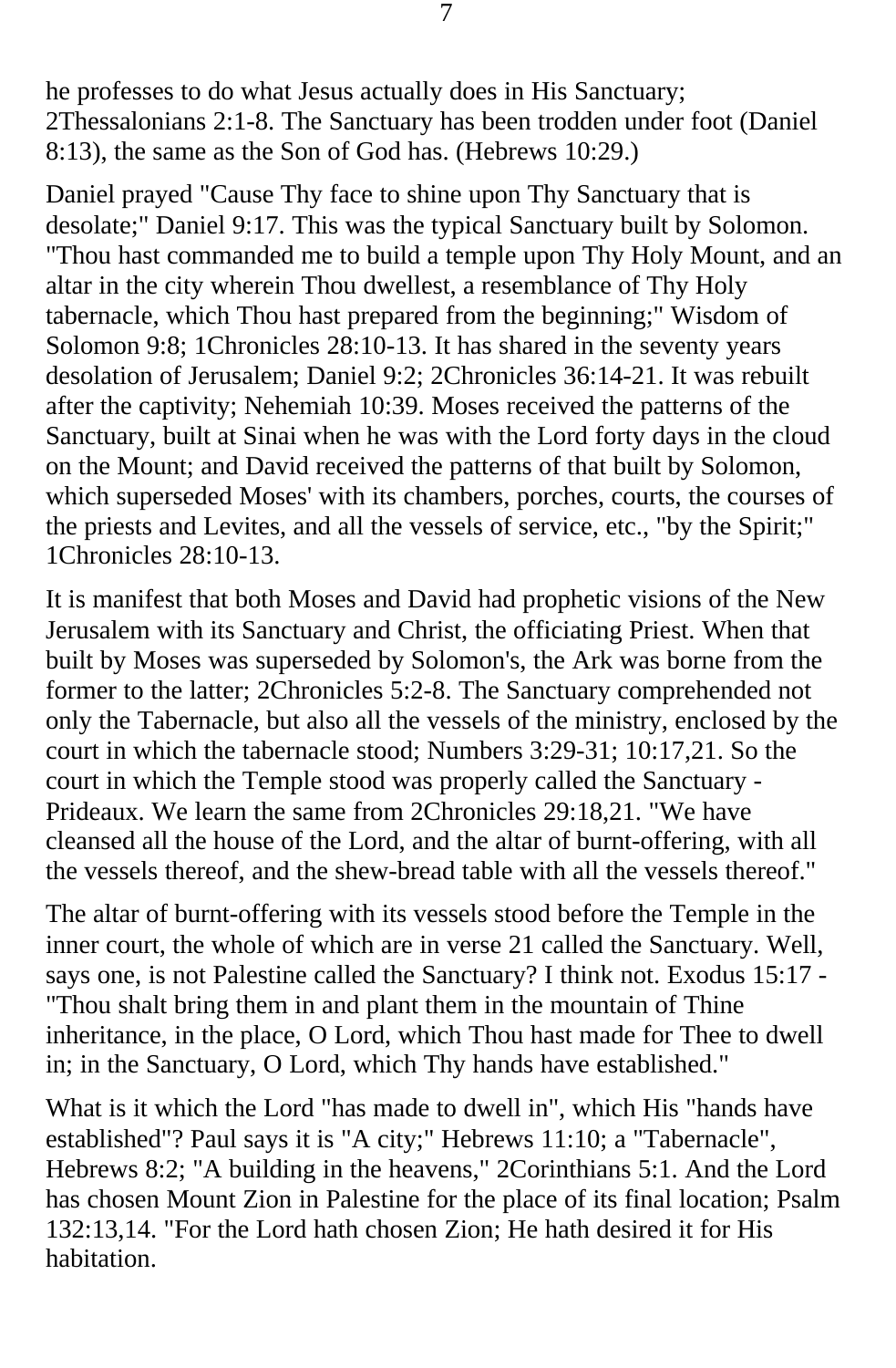he professes to do what Jesus actually does in His Sanctuary; 2Thessalonians 2:1-8. The Sanctuary has been trodden under foot (Daniel 8:13), the same as the Son of God has. (Hebrews 10:29.)

Daniel prayed "Cause Thy face to shine upon Thy Sanctuary that is desolate;" Daniel 9:17. This was the typical Sanctuary built by Solomon. "Thou hast commanded me to build a temple upon Thy Holy Mount, and an altar in the city wherein Thou dwellest, a resemblance of Thy Holy tabernacle, which Thou hast prepared from the beginning;" Wisdom of Solomon 9:8; 1Chronicles 28:10-13. It has shared in the seventy years desolation of Jerusalem; Daniel 9:2; 2Chronicles 36:14-21. It was rebuilt after the captivity; Nehemiah 10:39. Moses received the patterns of the Sanctuary, built at Sinai when he was with the Lord forty days in the cloud on the Mount; and David received the patterns of that built by Solomon, which superseded Moses' with its chambers, porches, courts, the courses of the priests and Levites, and all the vessels of service, etc., "by the Spirit;" 1Chronicles 28:10-13.

It is manifest that both Moses and David had prophetic visions of the New Jerusalem with its Sanctuary and Christ, the officiating Priest. When that built by Moses was superseded by Solomon's, the Ark was borne from the former to the latter; 2Chronicles 5:2-8. The Sanctuary comprehended not only the Tabernacle, but also all the vessels of the ministry, enclosed by the court in which the tabernacle stood; Numbers 3:29-31; 10:17,21. So the court in which the Temple stood was properly called the Sanctuary - Prideaux. We learn the same from 2Chronicles 29:18,21. "We have cleansed all the house of the Lord, and the altar of burnt-offering, with all the vessels thereof, and the shew-bread table with all the vessels thereof."

The altar of burnt-offering with its vessels stood before the Temple in the inner court, the whole of which are in verse 21 called the Sanctuary. Well, says one, is not Palestine called the Sanctuary? I think not. Exodus 15:17 - "Thou shalt bring them in and plant them in the mountain of Thine inheritance, in the place, O Lord, which Thou hast made for Thee to dwell in; in the Sanctuary, O Lord, which Thy hands have established."

What is it which the Lord "has made to dwell in", which His "hands have established"? Paul says it is "A city;" Hebrews 11:10; a "Tabernacle", Hebrews 8:2; "A building in the heavens," 2Corinthians 5:1. And the Lord has chosen Mount Zion in Palestine for the place of its final location; Psalm 132:13,14. "For the Lord hath chosen Zion; He hath desired it for His habitation.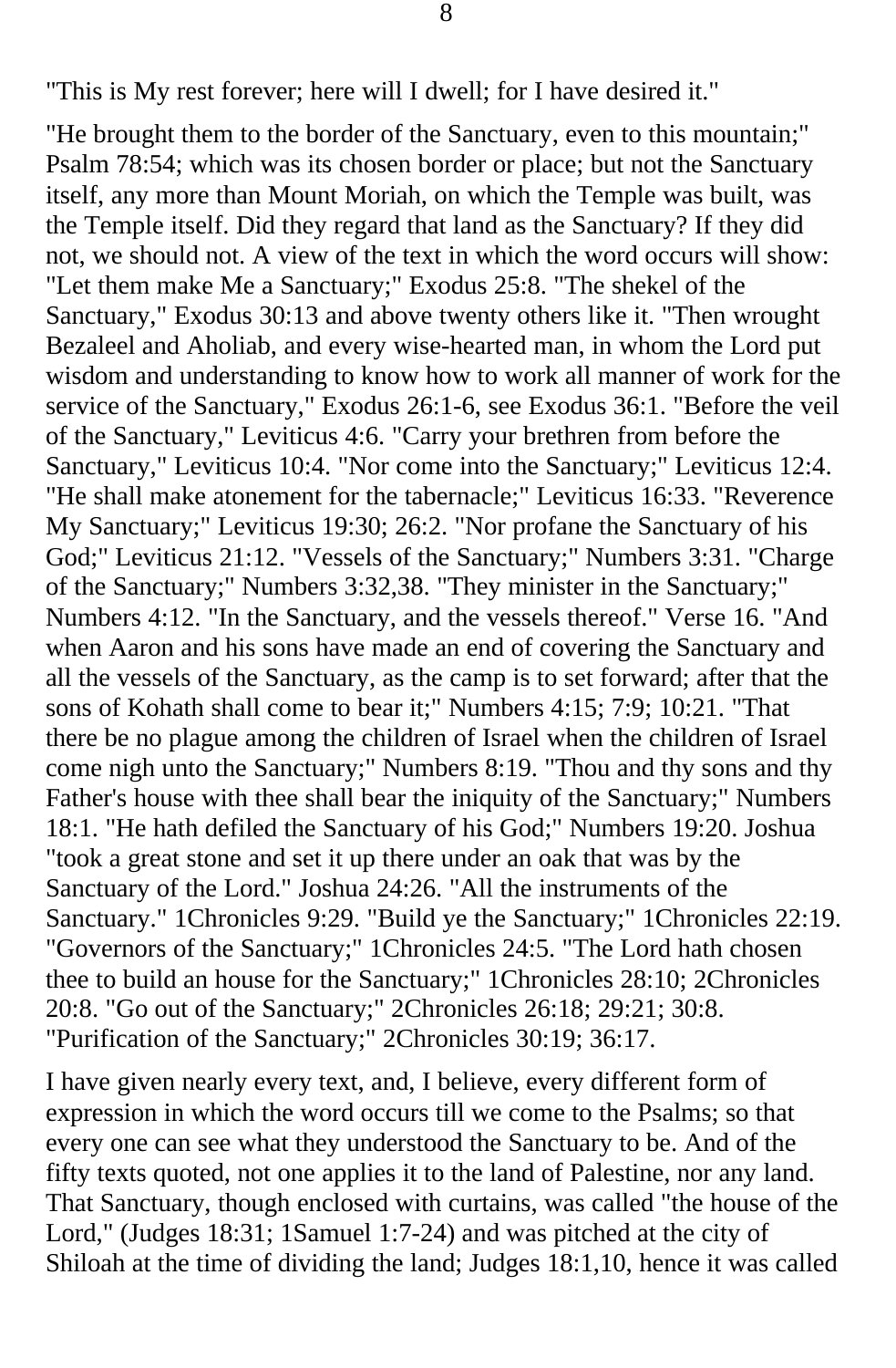"This is My rest forever; here will I dwell; for I have desired it."

"He brought them to the border of the Sanctuary, even to this mountain;" Psalm 78:54; which was its chosen border or place; but not the Sanctuary itself, any more than Mount Moriah, on which the Temple was built, was the Temple itself. Did they regard that land as the Sanctuary? If they did not, we should not. A view of the text in which the word occurs will show: "Let them make Me a Sanctuary;" Exodus 25:8. "The shekel of the Sanctuary," Exodus 30:13 and above twenty others like it. "Then wrought Bezaleel and Aholiab, and every wise-hearted man, in whom the Lord put wisdom and understanding to know how to work all manner of work for the service of the Sanctuary," Exodus 26:1-6, see Exodus 36:1. "Before the veil of the Sanctuary," Leviticus 4:6. "Carry your brethren from before the Sanctuary," Leviticus 10:4. "Nor come into the Sanctuary;" Leviticus 12:4. "He shall make atonement for the tabernacle;" Leviticus 16:33. "Reverence My Sanctuary;" Leviticus 19:30; 26:2. "Nor profane the Sanctuary of his God;" Leviticus 21:12. "Vessels of the Sanctuary;" Numbers 3:31. "Charge of the Sanctuary;" Numbers 3:32,38. "They minister in the Sanctuary;" Numbers 4:12. "In the Sanctuary, and the vessels thereof." Verse 16. "And when Aaron and his sons have made an end of covering the Sanctuary and all the vessels of the Sanctuary, as the camp is to set forward; after that the sons of Kohath shall come to bear it;" Numbers 4:15; 7:9; 10:21. "That there be no plague among the children of Israel when the children of Israel come nigh unto the Sanctuary;" Numbers 8:19. "Thou and thy sons and thy Father's house with thee shall bear the iniquity of the Sanctuary;" Numbers 18:1. "He hath defiled the Sanctuary of his God;" Numbers 19:20. Joshua "took a great stone and set it up there under an oak that was by the Sanctuary of the Lord." Joshua 24:26. "All the instruments of the Sanctuary." 1Chronicles 9:29. "Build ye the Sanctuary;" 1Chronicles 22:19. "Governors of the Sanctuary;" 1Chronicles 24:5. "The Lord hath chosen thee to build an house for the Sanctuary;" 1Chronicles 28:10; 2Chronicles 20:8. "Go out of the Sanctuary;" 2Chronicles 26:18; 29:21; 30:8. "Purification of the Sanctuary;" 2Chronicles 30:19; 36:17.

I have given nearly every text, and, I believe, every different form of expression in which the word occurs till we come to the Psalms; so that every one can see what they understood the Sanctuary to be. And of the fifty texts quoted, not one applies it to the land of Palestine, nor any land. That Sanctuary, though enclosed with curtains, was called "the house of the Lord," (Judges 18:31; 1Samuel 1:7-24) and was pitched at the city of Shiloah at the time of dividing the land; Judges 18:1,10, hence it was called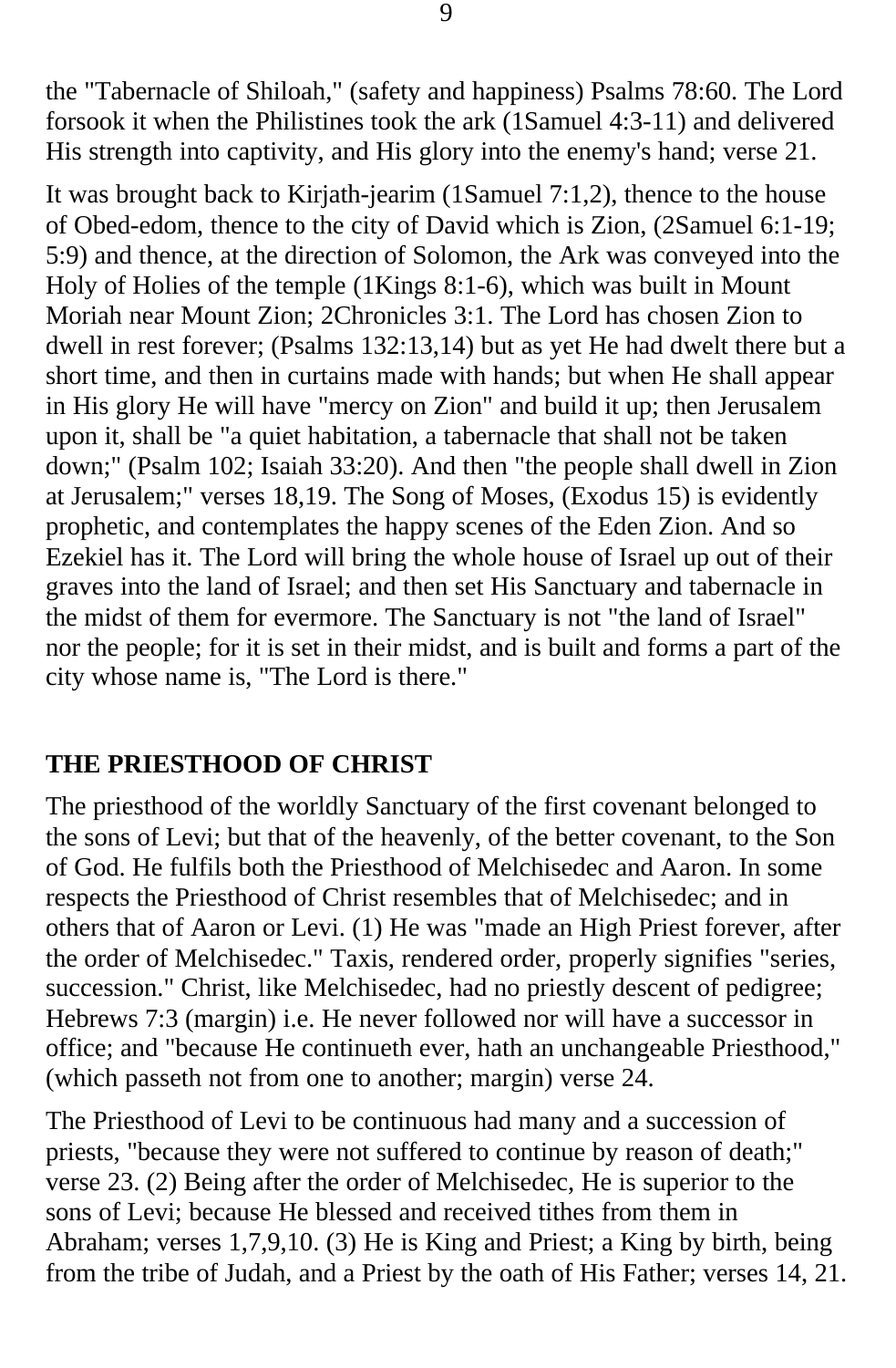the "Tabernacle of Shiloah," (safety and happiness) Psalms 78:60. The Lord forsook it when the Philistines took the ark (1Samuel 4:3-11) and delivered His strength into captivity, and His glory into the enemy's hand; verse 21.

It was brought back to Kirjath-jearim (1Samuel 7:1,2), thence to the house of Obed-edom, thence to the city of David which is Zion, (2Samuel 6:1-19; 5:9) and thence, at the direction of Solomon, the Ark was conveyed into the Holy of Holies of the temple (1Kings 8:1-6), which was built in Mount Moriah near Mount Zion; 2Chronicles 3:1. The Lord has chosen Zion to dwell in rest forever; (Psalms 132:13,14) but as yet He had dwelt there but a short time, and then in curtains made with hands; but when He shall appear in His glory He will have "mercy on Zion" and build it up; then Jerusalem upon it, shall be "a quiet habitation, a tabernacle that shall not be taken down;" (Psalm 102; Isaiah 33:20). And then "the people shall dwell in Zion at Jerusalem;" verses 18,19. The Song of Moses, (Exodus 15) is evidently prophetic, and contemplates the happy scenes of the Eden Zion. And so Ezekiel has it. The Lord will bring the whole house of Israel up out of their graves into the land of Israel; and then set His Sanctuary and tabernacle in the midst of them for evermore. The Sanctuary is not "the land of Israel" nor the people; for it is set in their midst, and is built and forms a part of the city whose name is, "The Lord is there."

### **THE PRIESTHOOD OF CHRIST**

The priesthood of the worldly Sanctuary of the first covenant belonged to the sons of Levi; but that of the heavenly, of the better covenant, to the Son of God. He fulfils both the Priesthood of Melchisedec and Aaron. In some respects the Priesthood of Christ resembles that of Melchisedec; and in others that of Aaron or Levi. (1) He was "made an High Priest forever, after the order of Melchisedec." Taxis, rendered order, properly signifies "series, succession." Christ, like Melchisedec, had no priestly descent of pedigree; Hebrews 7:3 (margin) i.e. He never followed nor will have a successor in office; and "because He continueth ever, hath an unchangeable Priesthood," (which passeth not from one to another; margin) verse 24.

The Priesthood of Levi to be continuous had many and a succession of priests, "because they were not suffered to continue by reason of death;" verse 23. (2) Being after the order of Melchisedec, He is superior to the sons of Levi; because He blessed and received tithes from them in Abraham; verses 1,7,9,10. (3) He is King and Priest; a King by birth, being from the tribe of Judah, and a Priest by the oath of His Father; verses 14, 21.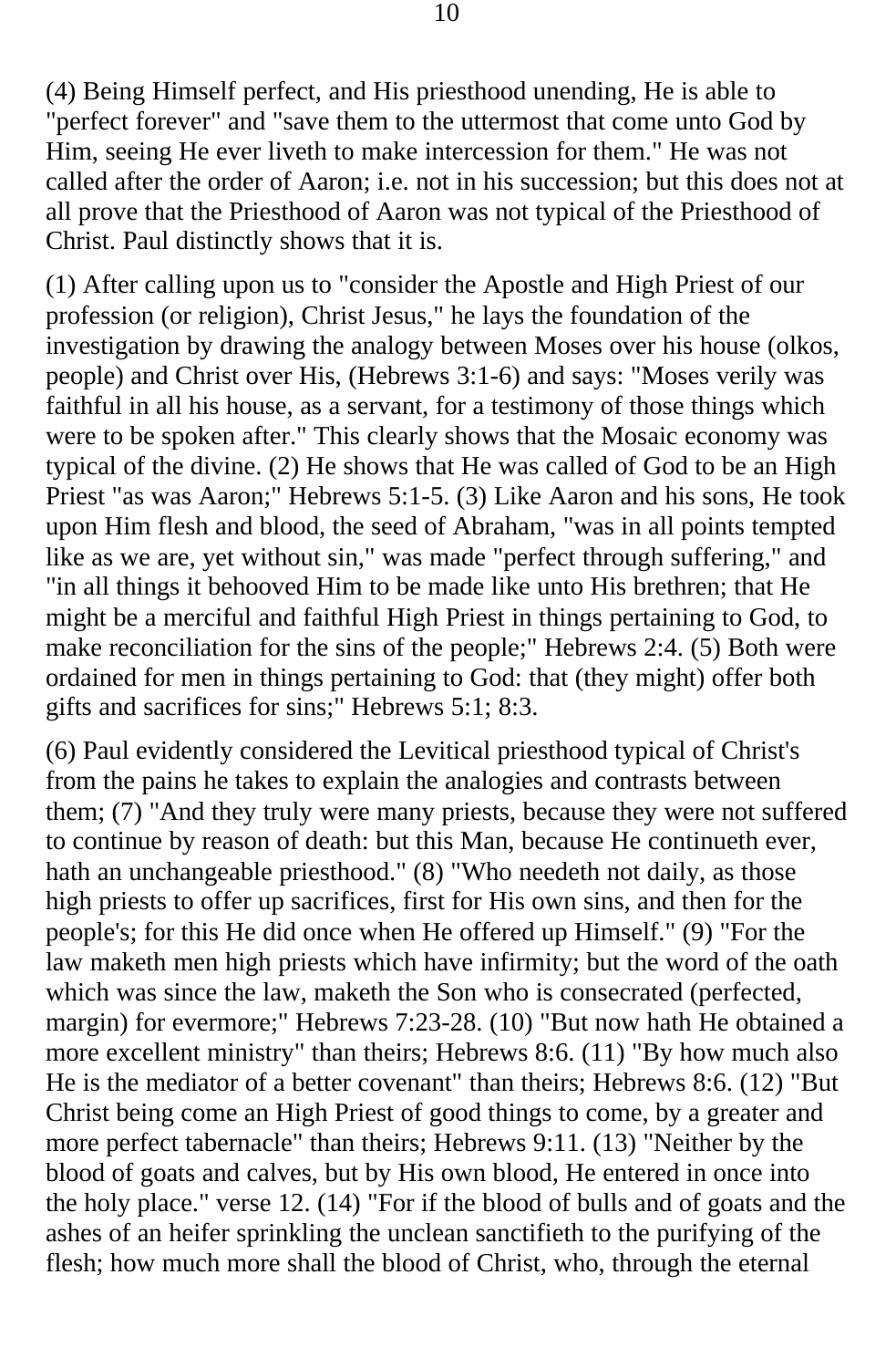(4) Being Himself perfect, and His priesthood unending, He is able to "perfect forever" and "save them to the uttermost that come unto God by Him, seeing He ever liveth to make intercession for them." He was not called after the order of Aaron; i.e. not in his succession; but this does not at all prove that the Priesthood of Aaron was not typical of the Priesthood of Christ. Paul distinctly shows that it is.

(1) After calling upon us to "consider the Apostle and High Priest of our profession (or religion), Christ Jesus," he lays the foundation of the investigation by drawing the analogy between Moses over his house (olkos, people) and Christ over His, (Hebrews 3:1-6) and says: "Moses verily was faithful in all his house, as a servant, for a testimony of those things which were to be spoken after." This clearly shows that the Mosaic economy was typical of the divine. (2) He shows that He was called of God to be an High Priest "as was Aaron;" Hebrews 5:1-5. (3) Like Aaron and his sons, He took upon Him flesh and blood, the seed of Abraham, "was in all points tempted like as we are, yet without sin," was made "perfect through suffering," and "in all things it behooved Him to be made like unto His brethren; that He might be a merciful and faithful High Priest in things pertaining to God, to make reconciliation for the sins of the people;" Hebrews 2:4. (5) Both were ordained for men in things pertaining to God: that (they might) offer both gifts and sacrifices for sins;" Hebrews 5:1; 8:3.

(6) Paul evidently considered the Levitical priesthood typical of Christ's from the pains he takes to explain the analogies and contrasts between them; (7) "And they truly were many priests, because they were not suffered to continue by reason of death: but this Man, because He continueth ever, hath an unchangeable priesthood." (8) "Who needeth not daily, as those high priests to offer up sacrifices, first for His own sins, and then for the people's; for this He did once when He offered up Himself." (9) "For the law maketh men high priests which have infirmity; but the word of the oath which was since the law, maketh the Son who is consecrated (perfected, margin) for evermore;" Hebrews 7:23-28. (10) "But now hath He obtained a more excellent ministry" than theirs; Hebrews 8:6. (11) "By how much also He is the mediator of a better covenant" than theirs; Hebrews 8:6. (12) "But Christ being come an High Priest of good things to come, by a greater and more perfect tabernacle" than theirs; Hebrews 9:11. (13) "Neither by the blood of goats and calves, but by His own blood, He entered in once into the holy place." verse 12. (14) "For if the blood of bulls and of goats and the ashes of an heifer sprinkling the unclean sanctifieth to the purifying of the flesh; how much more shall the blood of Christ, who, through the eternal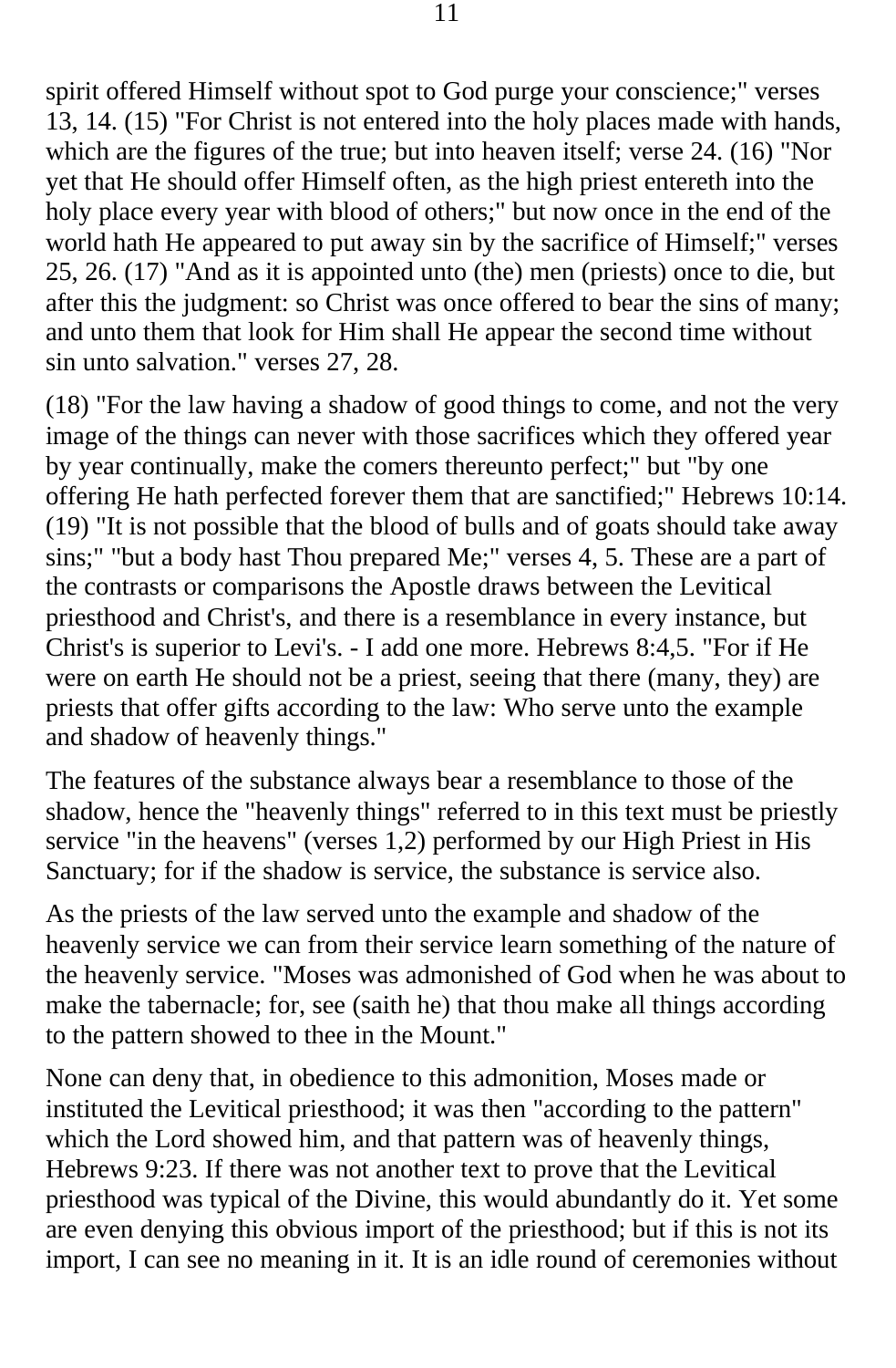spirit offered Himself without spot to God purge your conscience;" verses 13, 14. (15) "For Christ is not entered into the holy places made with hands, which are the figures of the true; but into heaven itself; verse 24. (16) "Nor yet that He should offer Himself often, as the high priest entereth into the holy place every year with blood of others;" but now once in the end of the world hath He appeared to put away sin by the sacrifice of Himself;" verses 25, 26. (17) "And as it is appointed unto (the) men (priests) once to die, but after this the judgment: so Christ was once offered to bear the sins of many; and unto them that look for Him shall He appear the second time without sin unto salvation." verses 27, 28.

(18) "For the law having a shadow of good things to come, and not the very image of the things can never with those sacrifices which they offered year by year continually, make the comers thereunto perfect;" but "by one offering He hath perfected forever them that are sanctified;" Hebrews 10:14. (19) "It is not possible that the blood of bulls and of goats should take away sins;" "but a body hast Thou prepared Me;" verses 4, 5. These are a part of the contrasts or comparisons the Apostle draws between the Levitical priesthood and Christ's, and there is a resemblance in every instance, but Christ's is superior to Levi's. - I add one more. Hebrews 8:4,5. "For if He were on earth He should not be a priest, seeing that there (many, they) are priests that offer gifts according to the law: Who serve unto the example and shadow of heavenly things."

The features of the substance always bear a resemblance to those of the shadow, hence the "heavenly things" referred to in this text must be priestly service "in the heavens" (verses 1,2) performed by our High Priest in His Sanctuary; for if the shadow is service, the substance is service also.

As the priests of the law served unto the example and shadow of the heavenly service we can from their service learn something of the nature of the heavenly service. "Moses was admonished of God when he was about to make the tabernacle; for, see (saith he) that thou make all things according to the pattern showed to thee in the Mount."

None can deny that, in obedience to this admonition, Moses made or instituted the Levitical priesthood; it was then "according to the pattern" which the Lord showed him, and that pattern was of heavenly things, Hebrews 9:23. If there was not another text to prove that the Levitical priesthood was typical of the Divine, this would abundantly do it. Yet some are even denying this obvious import of the priesthood; but if this is not its import, I can see no meaning in it. It is an idle round of ceremonies without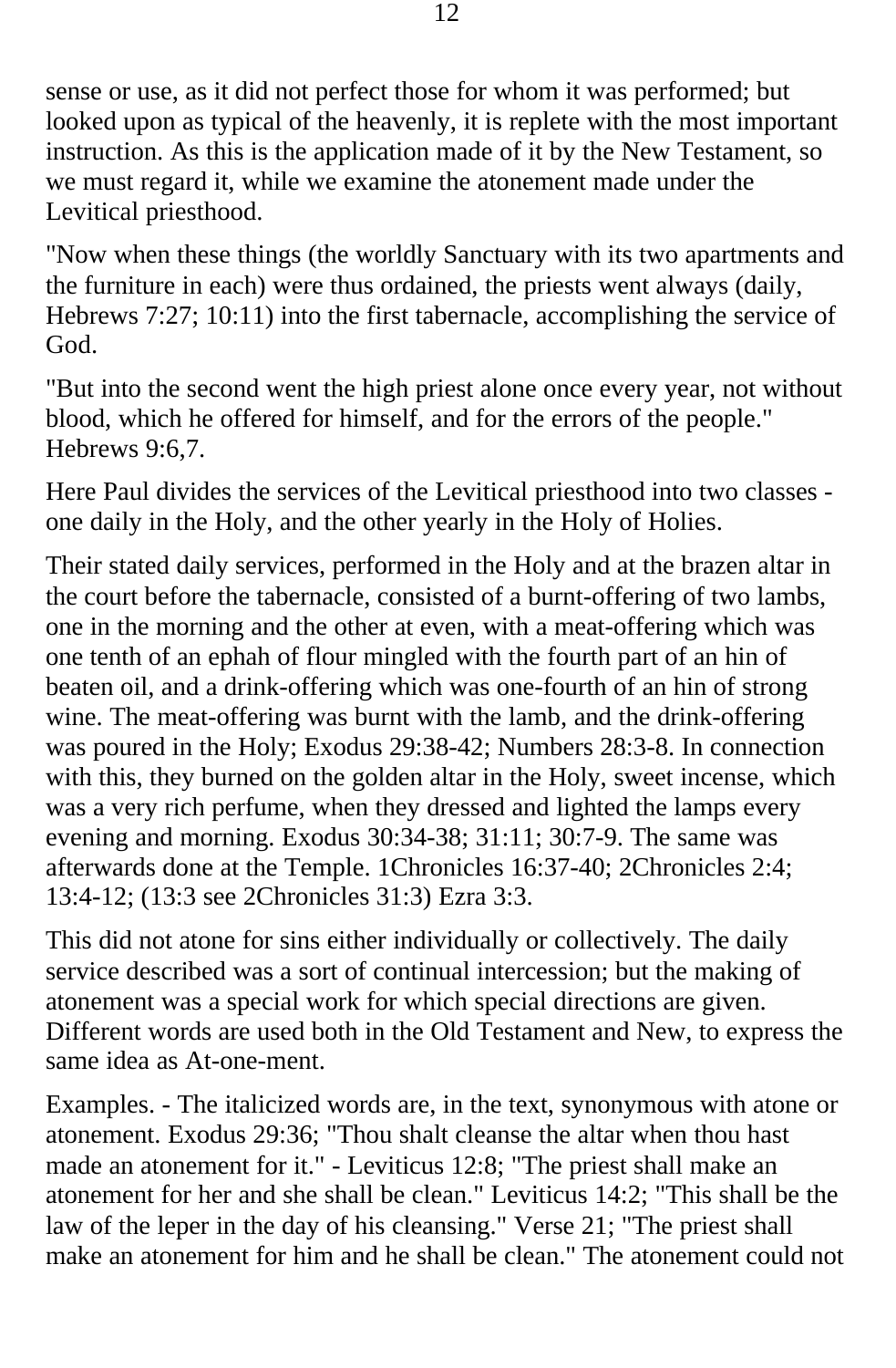sense or use, as it did not perfect those for whom it was performed; but looked upon as typical of the heavenly, it is replete with the most important instruction. As this is the application made of it by the New Testament, so we must regard it, while we examine the atonement made under the Levitical priesthood.

"Now when these things (the worldly Sanctuary with its two apartments and the furniture in each) were thus ordained, the priests went always (daily, Hebrews 7:27; 10:11) into the first tabernacle, accomplishing the service of God.

"But into the second went the high priest alone once every year, not without blood, which he offered for himself, and for the errors of the people." Hebrews 9:6,7.

Here Paul divides the services of the Levitical priesthood into two classes one daily in the Holy, and the other yearly in the Holy of Holies.

Their stated daily services, performed in the Holy and at the brazen altar in the court before the tabernacle, consisted of a burnt-offering of two lambs, one in the morning and the other at even, with a meat-offering which was one tenth of an ephah of flour mingled with the fourth part of an hin of beaten oil, and a drink-offering which was one-fourth of an hin of strong wine. The meat-offering was burnt with the lamb, and the drink-offering was poured in the Holy; Exodus 29:38-42; Numbers 28:3-8. In connection with this, they burned on the golden altar in the Holy, sweet incense, which was a very rich perfume, when they dressed and lighted the lamps every evening and morning. Exodus 30:34-38; 31:11; 30:7-9. The same was afterwards done at the Temple. 1Chronicles 16:37-40; 2Chronicles 2:4; 13:4-12; (13:3 see 2Chronicles 31:3) Ezra 3:3.

This did not atone for sins either individually or collectively. The daily service described was a sort of continual intercession; but the making of atonement was a special work for which special directions are given. Different words are used both in the Old Testament and New, to express the same idea as At-one-ment.

Examples. - The italicized words are, in the text, synonymous with atone or atonement. Exodus 29:36; "Thou shalt cleanse the altar when thou hast made an atonement for it." - Leviticus 12:8; "The priest shall make an atonement for her and she shall be clean." Leviticus 14:2; "This shall be the law of the leper in the day of his cleansing." Verse 21; "The priest shall make an atonement for him and he shall be clean." The atonement could not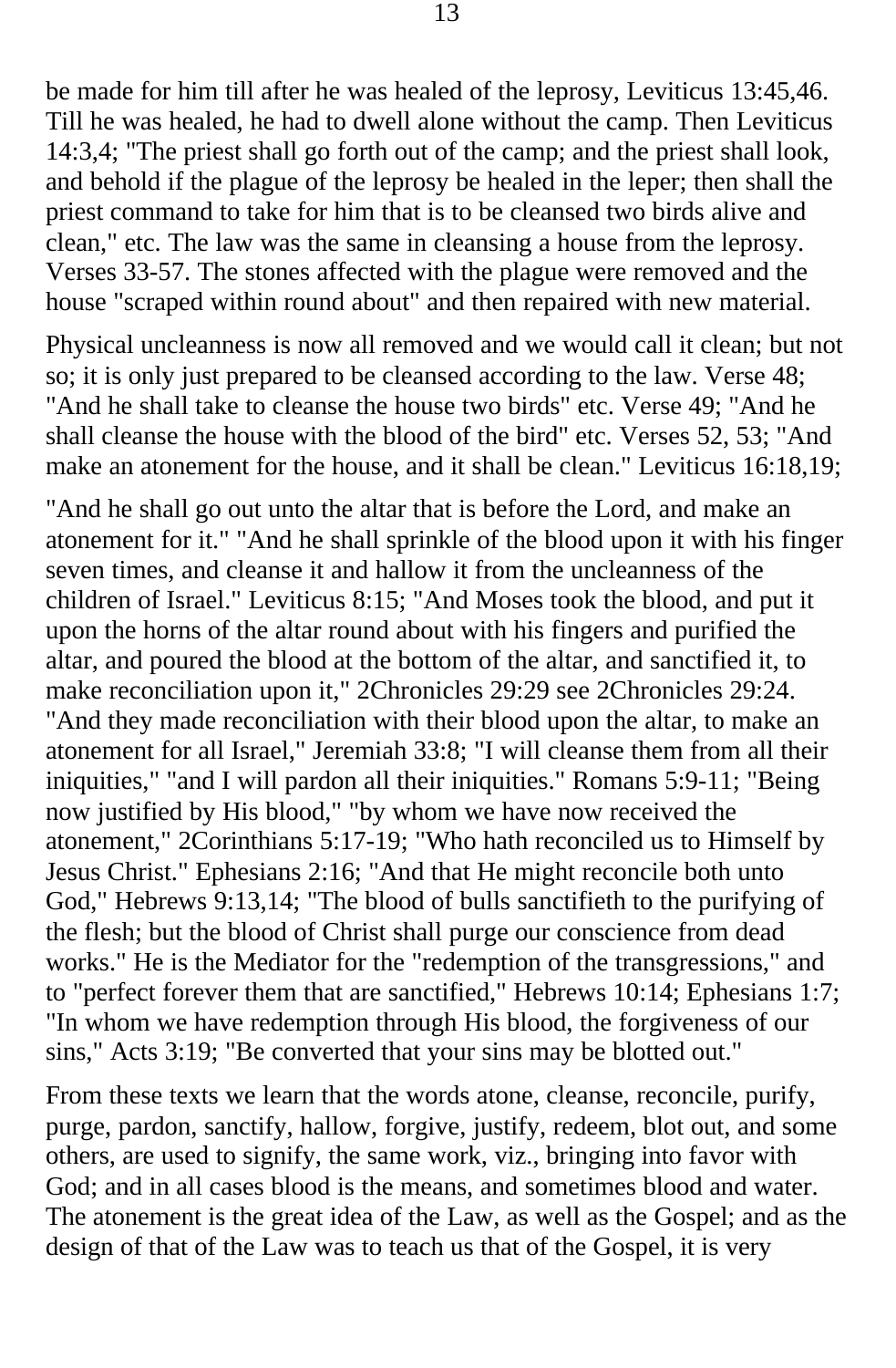be made for him till after he was healed of the leprosy, Leviticus 13:45,46. Till he was healed, he had to dwell alone without the camp. Then Leviticus 14:3,4; "The priest shall go forth out of the camp; and the priest shall look, and behold if the plague of the leprosy be healed in the leper; then shall the priest command to take for him that is to be cleansed two birds alive and clean," etc. The law was the same in cleansing a house from the leprosy. Verses 33-57. The stones affected with the plague were removed and the house "scraped within round about" and then repaired with new material.

Physical uncleanness is now all removed and we would call it clean; but not so; it is only just prepared to be cleansed according to the law. Verse 48; "And he shall take to cleanse the house two birds" etc. Verse 49; "And he shall cleanse the house with the blood of the bird" etc. Verses 52, 53; "And make an atonement for the house, and it shall be clean." Leviticus 16:18,19;

"And he shall go out unto the altar that is before the Lord, and make an atonement for it." "And he shall sprinkle of the blood upon it with his finger seven times, and cleanse it and hallow it from the uncleanness of the children of Israel." Leviticus 8:15; "And Moses took the blood, and put it upon the horns of the altar round about with his fingers and purified the altar, and poured the blood at the bottom of the altar, and sanctified it, to make reconciliation upon it," 2Chronicles 29:29 see 2Chronicles 29:24. "And they made reconciliation with their blood upon the altar, to make an atonement for all Israel," Jeremiah 33:8; "I will cleanse them from all their iniquities," "and I will pardon all their iniquities." Romans 5:9-11; "Being now justified by His blood," "by whom we have now received the atonement," 2Corinthians 5:17-19; "Who hath reconciled us to Himself by Jesus Christ." Ephesians 2:16; "And that He might reconcile both unto God," Hebrews 9:13,14; "The blood of bulls sanctifieth to the purifying of the flesh; but the blood of Christ shall purge our conscience from dead works." He is the Mediator for the "redemption of the transgressions," and to "perfect forever them that are sanctified," Hebrews 10:14; Ephesians 1:7; "In whom we have redemption through His blood, the forgiveness of our sins," Acts 3:19; "Be converted that your sins may be blotted out."

From these texts we learn that the words atone, cleanse, reconcile, purify, purge, pardon, sanctify, hallow, forgive, justify, redeem, blot out, and some others, are used to signify, the same work, viz., bringing into favor with God; and in all cases blood is the means, and sometimes blood and water. The atonement is the great idea of the Law, as well as the Gospel; and as the design of that of the Law was to teach us that of the Gospel, it is very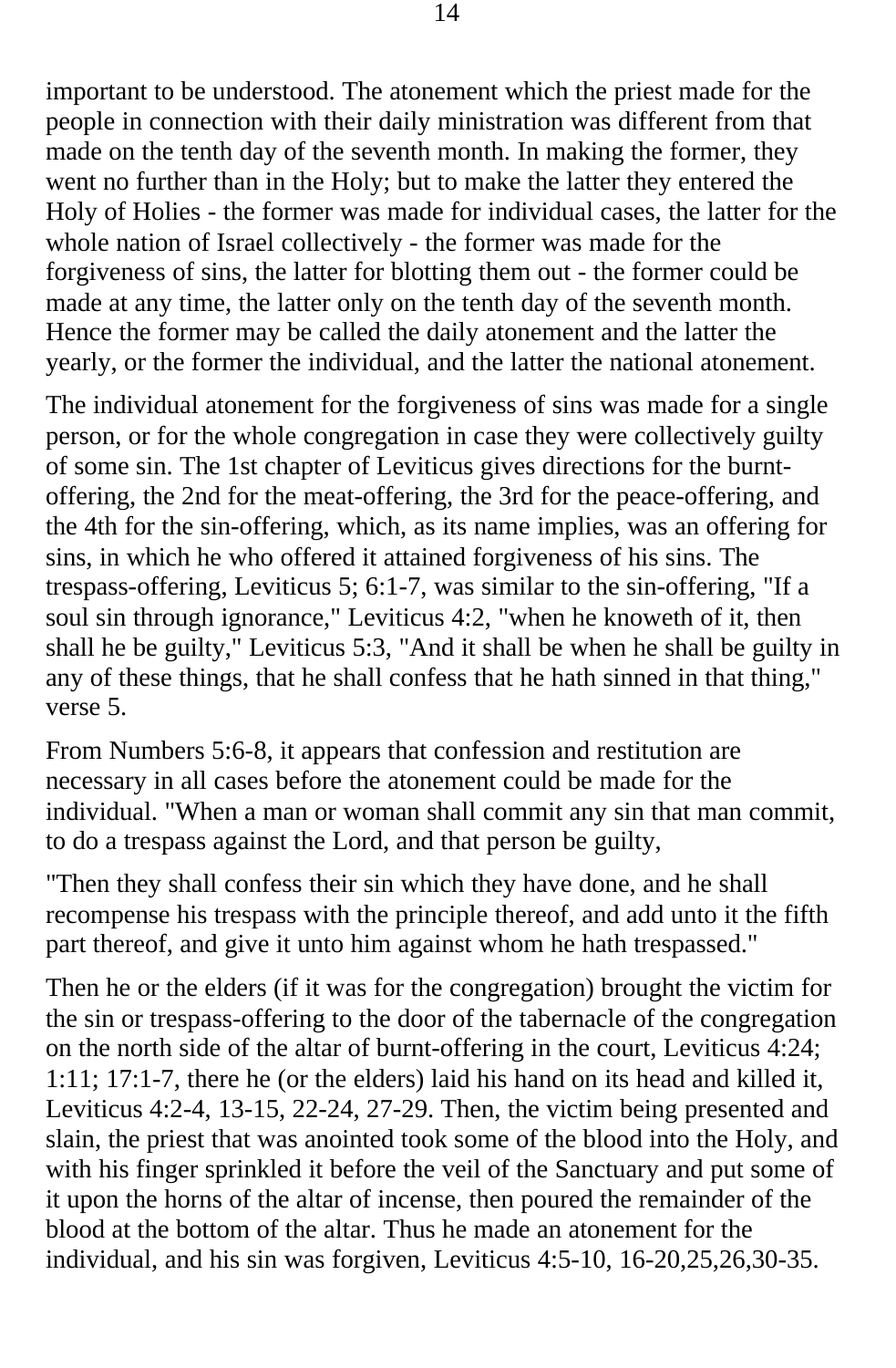important to be understood. The atonement which the priest made for the people in connection with their daily ministration was different from that made on the tenth day of the seventh month. In making the former, they went no further than in the Holy; but to make the latter they entered the Holy of Holies - the former was made for individual cases, the latter for the whole nation of Israel collectively - the former was made for the forgiveness of sins, the latter for blotting them out - the former could be made at any time, the latter only on the tenth day of the seventh month. Hence the former may be called the daily atonement and the latter the yearly, or the former the individual, and the latter the national atonement.

The individual atonement for the forgiveness of sins was made for a single person, or for the whole congregation in case they were collectively guilty of some sin. The 1st chapter of Leviticus gives directions for the burntoffering, the 2nd for the meat-offering, the 3rd for the peace-offering, and the 4th for the sin-offering, which, as its name implies, was an offering for sins, in which he who offered it attained forgiveness of his sins. The trespass-offering, Leviticus 5; 6:1-7, was similar to the sin-offering, "If a soul sin through ignorance," Leviticus 4:2, "when he knoweth of it, then shall he be guilty," Leviticus 5:3, "And it shall be when he shall be guilty in any of these things, that he shall confess that he hath sinned in that thing," verse 5.

From Numbers 5:6-8, it appears that confession and restitution are necessary in all cases before the atonement could be made for the individual. "When a man or woman shall commit any sin that man commit, to do a trespass against the Lord, and that person be guilty,

"Then they shall confess their sin which they have done, and he shall recompense his trespass with the principle thereof, and add unto it the fifth part thereof, and give it unto him against whom he hath trespassed."

Then he or the elders (if it was for the congregation) brought the victim for the sin or trespass-offering to the door of the tabernacle of the congregation on the north side of the altar of burnt-offering in the court, Leviticus 4:24; 1:11; 17:1-7, there he (or the elders) laid his hand on its head and killed it, Leviticus 4:2-4, 13-15, 22-24, 27-29. Then, the victim being presented and slain, the priest that was anointed took some of the blood into the Holy, and with his finger sprinkled it before the veil of the Sanctuary and put some of it upon the horns of the altar of incense, then poured the remainder of the blood at the bottom of the altar. Thus he made an atonement for the individual, and his sin was forgiven, Leviticus 4:5-10, 16-20,25,26,30-35.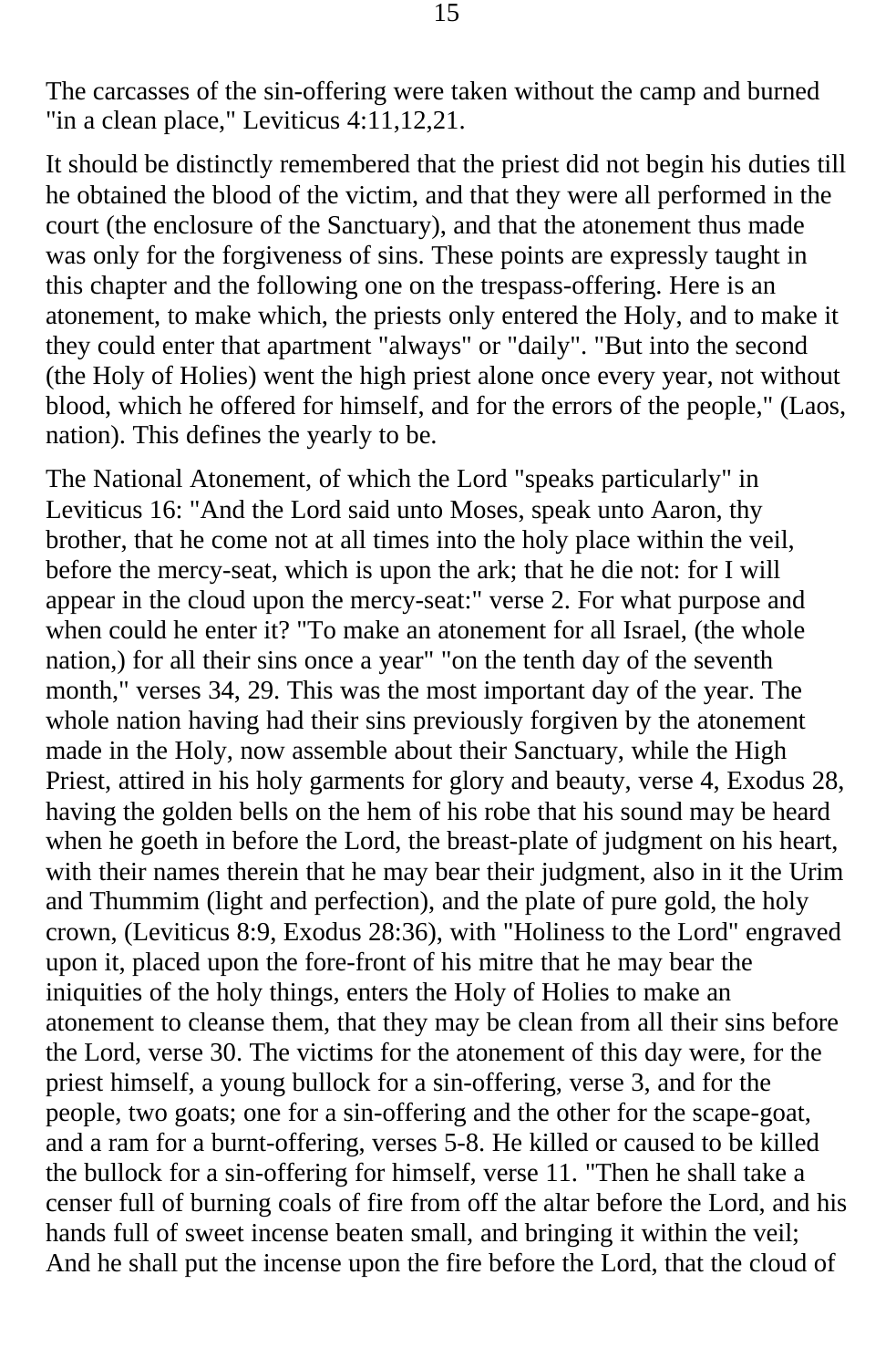The carcasses of the sin-offering were taken without the camp and burned "in a clean place," Leviticus 4:11,12,21.

It should be distinctly remembered that the priest did not begin his duties till he obtained the blood of the victim, and that they were all performed in the court (the enclosure of the Sanctuary), and that the atonement thus made was only for the forgiveness of sins. These points are expressly taught in this chapter and the following one on the trespass-offering. Here is an atonement, to make which, the priests only entered the Holy, and to make it they could enter that apartment "always" or "daily". "But into the second (the Holy of Holies) went the high priest alone once every year, not without blood, which he offered for himself, and for the errors of the people," (Laos, nation). This defines the yearly to be.

The National Atonement, of which the Lord "speaks particularly" in Leviticus 16: "And the Lord said unto Moses, speak unto Aaron, thy brother, that he come not at all times into the holy place within the veil, before the mercy-seat, which is upon the ark; that he die not: for I will appear in the cloud upon the mercy-seat:" verse 2. For what purpose and when could he enter it? "To make an atonement for all Israel, (the whole nation,) for all their sins once a year" "on the tenth day of the seventh month," verses 34, 29. This was the most important day of the year. The whole nation having had their sins previously forgiven by the atonement made in the Holy, now assemble about their Sanctuary, while the High Priest, attired in his holy garments for glory and beauty, verse 4, Exodus 28, having the golden bells on the hem of his robe that his sound may be heard when he goeth in before the Lord, the breast-plate of judgment on his heart, with their names therein that he may bear their judgment, also in it the Urim and Thummim (light and perfection), and the plate of pure gold, the holy crown, (Leviticus 8:9, Exodus 28:36), with "Holiness to the Lord" engraved upon it, placed upon the fore-front of his mitre that he may bear the iniquities of the holy things, enters the Holy of Holies to make an atonement to cleanse them, that they may be clean from all their sins before the Lord, verse 30. The victims for the atonement of this day were, for the priest himself, a young bullock for a sin-offering, verse 3, and for the people, two goats; one for a sin-offering and the other for the scape-goat, and a ram for a burnt-offering, verses 5-8. He killed or caused to be killed the bullock for a sin-offering for himself, verse 11. "Then he shall take a censer full of burning coals of fire from off the altar before the Lord, and his hands full of sweet incense beaten small, and bringing it within the veil; And he shall put the incense upon the fire before the Lord, that the cloud of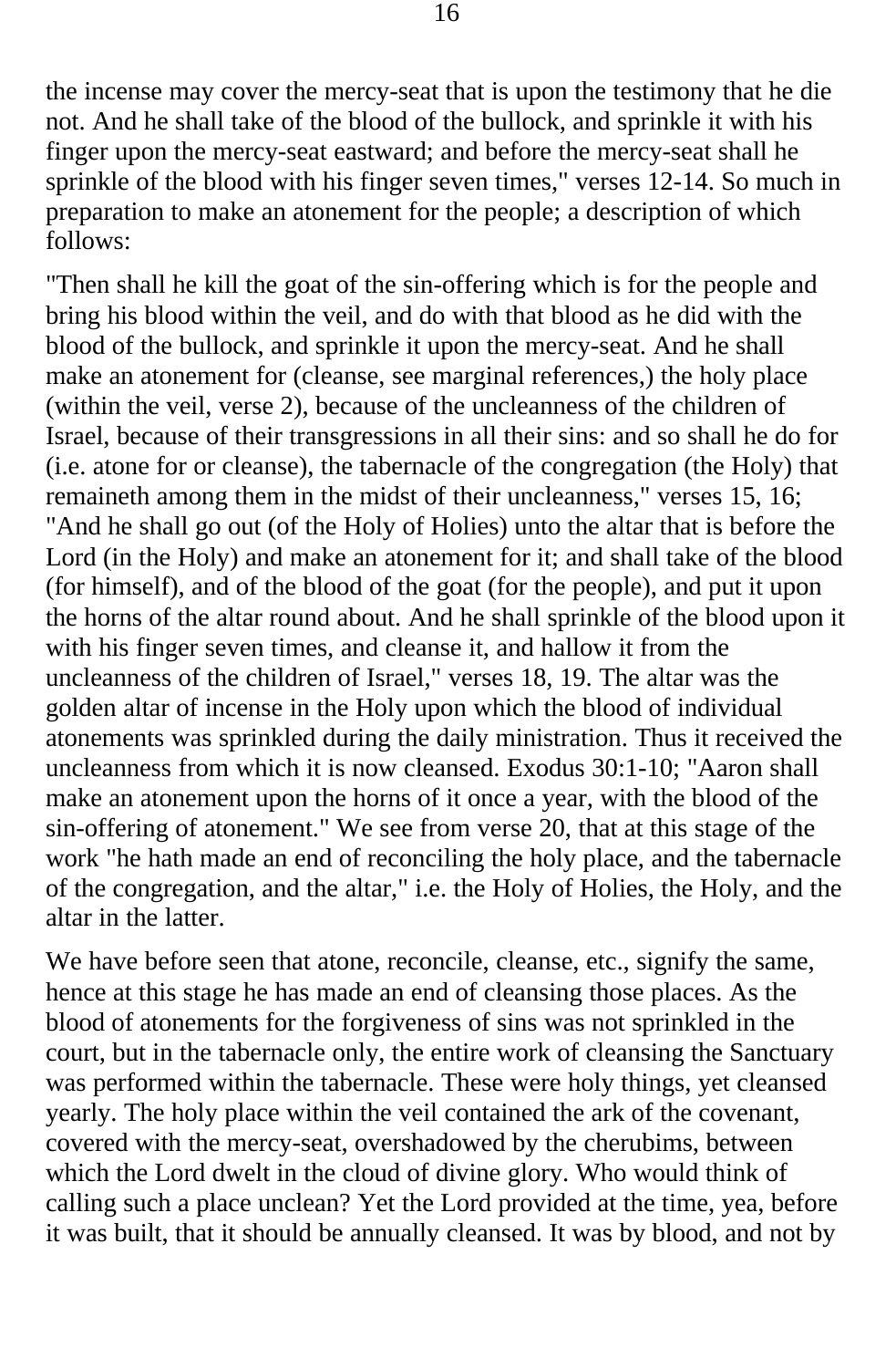the incense may cover the mercy-seat that is upon the testimony that he die not. And he shall take of the blood of the bullock, and sprinkle it with his finger upon the mercy-seat eastward; and before the mercy-seat shall he sprinkle of the blood with his finger seven times," verses 12-14. So much in preparation to make an atonement for the people; a description of which follows:

"Then shall he kill the goat of the sin-offering which is for the people and bring his blood within the veil, and do with that blood as he did with the blood of the bullock, and sprinkle it upon the mercy-seat. And he shall make an atonement for (cleanse, see marginal references,) the holy place (within the veil, verse 2), because of the uncleanness of the children of Israel, because of their transgressions in all their sins: and so shall he do for (i.e. atone for or cleanse), the tabernacle of the congregation (the Holy) that remaineth among them in the midst of their uncleanness," verses 15, 16; "And he shall go out (of the Holy of Holies) unto the altar that is before the Lord (in the Holy) and make an atonement for it; and shall take of the blood (for himself), and of the blood of the goat (for the people), and put it upon the horns of the altar round about. And he shall sprinkle of the blood upon it with his finger seven times, and cleanse it, and hallow it from the uncleanness of the children of Israel," verses 18, 19. The altar was the golden altar of incense in the Holy upon which the blood of individual atonements was sprinkled during the daily ministration. Thus it received the uncleanness from which it is now cleansed. Exodus 30:1-10; "Aaron shall make an atonement upon the horns of it once a year, with the blood of the sin-offering of atonement." We see from verse 20, that at this stage of the work "he hath made an end of reconciling the holy place, and the tabernacle of the congregation, and the altar," i.e. the Holy of Holies, the Holy, and the altar in the latter.

We have before seen that atone, reconcile, cleanse, etc., signify the same, hence at this stage he has made an end of cleansing those places. As the blood of atonements for the forgiveness of sins was not sprinkled in the court, but in the tabernacle only, the entire work of cleansing the Sanctuary was performed within the tabernacle. These were holy things, yet cleansed yearly. The holy place within the veil contained the ark of the covenant, covered with the mercy-seat, overshadowed by the cherubims, between which the Lord dwelt in the cloud of divine glory. Who would think of calling such a place unclean? Yet the Lord provided at the time, yea, before it was built, that it should be annually cleansed. It was by blood, and not by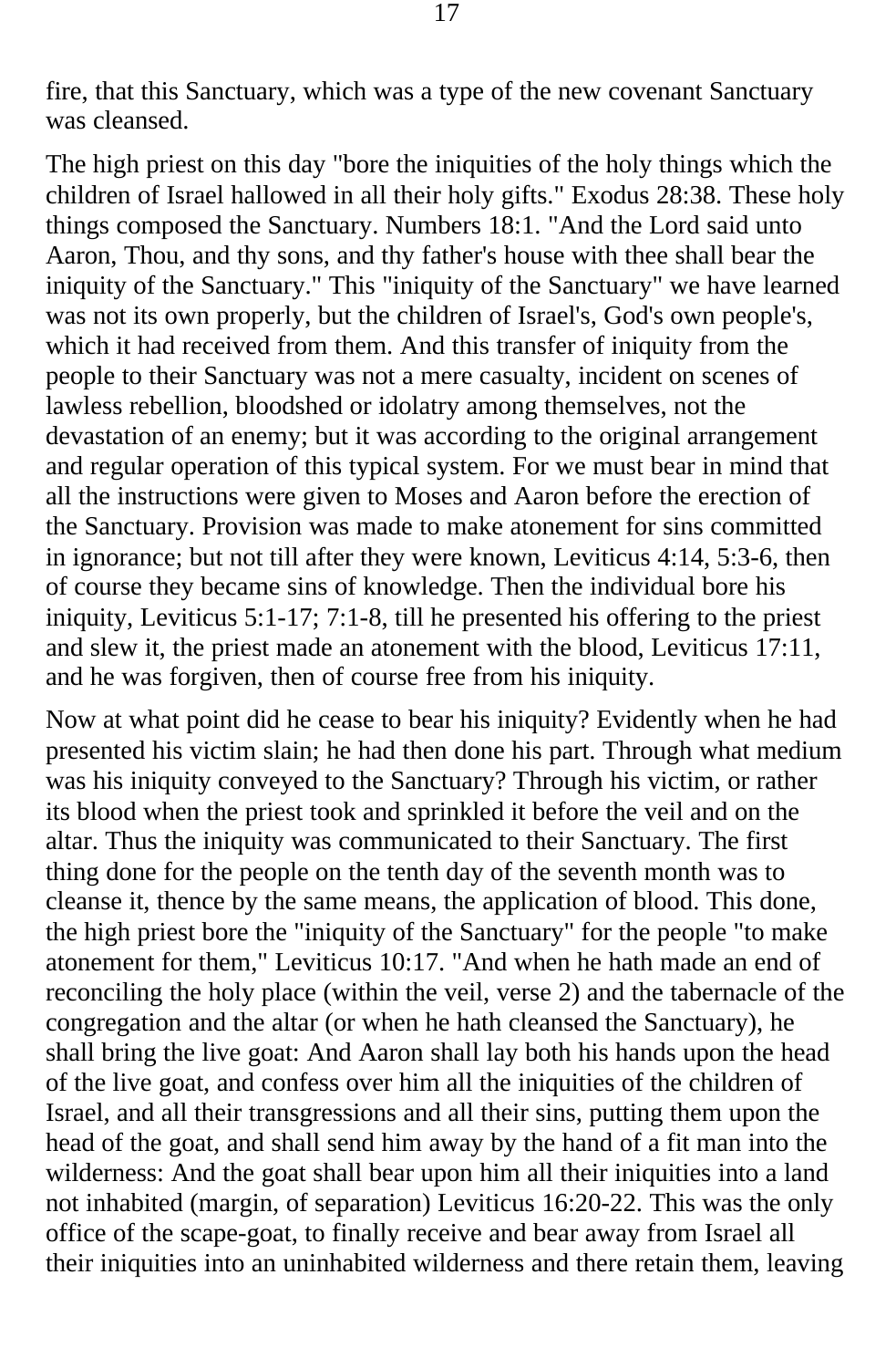fire, that this Sanctuary, which was a type of the new covenant Sanctuary was cleansed.

The high priest on this day "bore the iniquities of the holy things which the children of Israel hallowed in all their holy gifts." Exodus 28:38. These holy things composed the Sanctuary. Numbers 18:1. "And the Lord said unto Aaron, Thou, and thy sons, and thy father's house with thee shall bear the iniquity of the Sanctuary." This "iniquity of the Sanctuary" we have learned was not its own properly, but the children of Israel's, God's own people's, which it had received from them. And this transfer of iniquity from the people to their Sanctuary was not a mere casualty, incident on scenes of lawless rebellion, bloodshed or idolatry among themselves, not the devastation of an enemy; but it was according to the original arrangement and regular operation of this typical system. For we must bear in mind that all the instructions were given to Moses and Aaron before the erection of the Sanctuary. Provision was made to make atonement for sins committed in ignorance; but not till after they were known, Leviticus 4:14, 5:3-6, then of course they became sins of knowledge. Then the individual bore his iniquity, Leviticus 5:1-17; 7:1-8, till he presented his offering to the priest and slew it, the priest made an atonement with the blood, Leviticus 17:11, and he was forgiven, then of course free from his iniquity.

Now at what point did he cease to bear his iniquity? Evidently when he had presented his victim slain; he had then done his part. Through what medium was his iniquity conveyed to the Sanctuary? Through his victim, or rather its blood when the priest took and sprinkled it before the veil and on the altar. Thus the iniquity was communicated to their Sanctuary. The first thing done for the people on the tenth day of the seventh month was to cleanse it, thence by the same means, the application of blood. This done, the high priest bore the "iniquity of the Sanctuary" for the people "to make atonement for them," Leviticus 10:17. "And when he hath made an end of reconciling the holy place (within the veil, verse 2) and the tabernacle of the congregation and the altar (or when he hath cleansed the Sanctuary), he shall bring the live goat: And Aaron shall lay both his hands upon the head of the live goat, and confess over him all the iniquities of the children of Israel, and all their transgressions and all their sins, putting them upon the head of the goat, and shall send him away by the hand of a fit man into the wilderness: And the goat shall bear upon him all their iniquities into a land not inhabited (margin, of separation) Leviticus 16:20-22. This was the only office of the scape-goat, to finally receive and bear away from Israel all their iniquities into an uninhabited wilderness and there retain them, leaving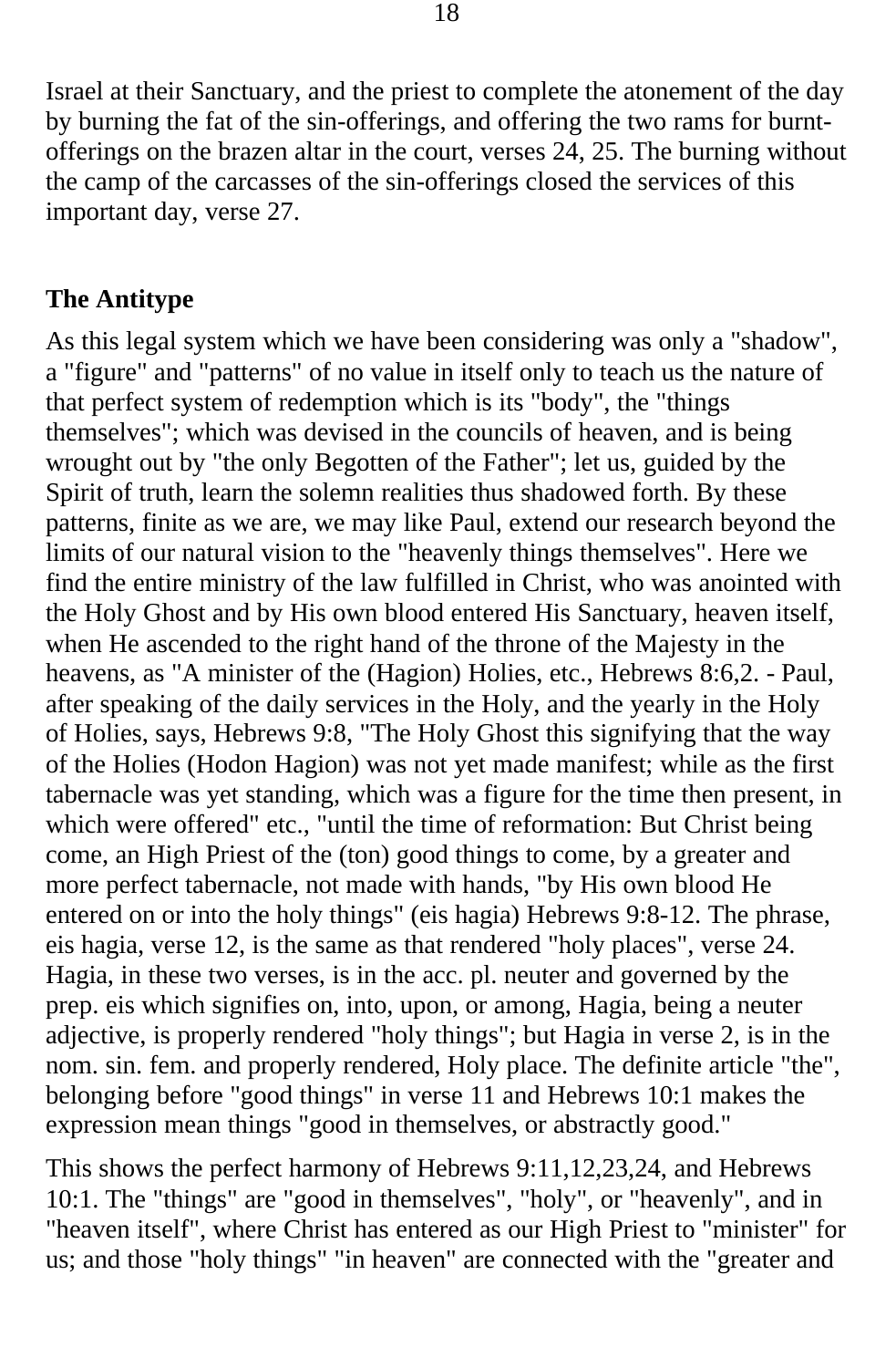Israel at their Sanctuary, and the priest to complete the atonement of the day by burning the fat of the sin-offerings, and offering the two rams for burntofferings on the brazen altar in the court, verses 24, 25. The burning without the camp of the carcasses of the sin-offerings closed the services of this important day, verse 27.

#### **The Antitype**

As this legal system which we have been considering was only a "shadow", a "figure" and "patterns" of no value in itself only to teach us the nature of that perfect system of redemption which is its "body", the "things themselves"; which was devised in the councils of heaven, and is being wrought out by "the only Begotten of the Father"; let us, guided by the Spirit of truth, learn the solemn realities thus shadowed forth. By these patterns, finite as we are, we may like Paul, extend our research beyond the limits of our natural vision to the "heavenly things themselves". Here we find the entire ministry of the law fulfilled in Christ, who was anointed with the Holy Ghost and by His own blood entered His Sanctuary, heaven itself, when He ascended to the right hand of the throne of the Majesty in the heavens, as "A minister of the (Hagion) Holies, etc., Hebrews 8:6,2. - Paul, after speaking of the daily services in the Holy, and the yearly in the Holy of Holies, says, Hebrews 9:8, "The Holy Ghost this signifying that the way of the Holies (Hodon Hagion) was not yet made manifest; while as the first tabernacle was yet standing, which was a figure for the time then present, in which were offered" etc., "until the time of reformation: But Christ being come, an High Priest of the (ton) good things to come, by a greater and more perfect tabernacle, not made with hands, "by His own blood He entered on or into the holy things" (eis hagia) Hebrews 9:8-12. The phrase, eis hagia, verse 12, is the same as that rendered "holy places", verse 24. Hagia, in these two verses, is in the acc. pl. neuter and governed by the prep. eis which signifies on, into, upon, or among, Hagia, being a neuter adjective, is properly rendered "holy things"; but Hagia in verse 2, is in the nom. sin. fem. and properly rendered, Holy place. The definite article "the", belonging before "good things" in verse 11 and Hebrews 10:1 makes the expression mean things "good in themselves, or abstractly good."

This shows the perfect harmony of Hebrews 9:11,12,23,24, and Hebrews 10:1. The "things" are "good in themselves", "holy", or "heavenly", and in "heaven itself", where Christ has entered as our High Priest to "minister" for us; and those "holy things" "in heaven" are connected with the "greater and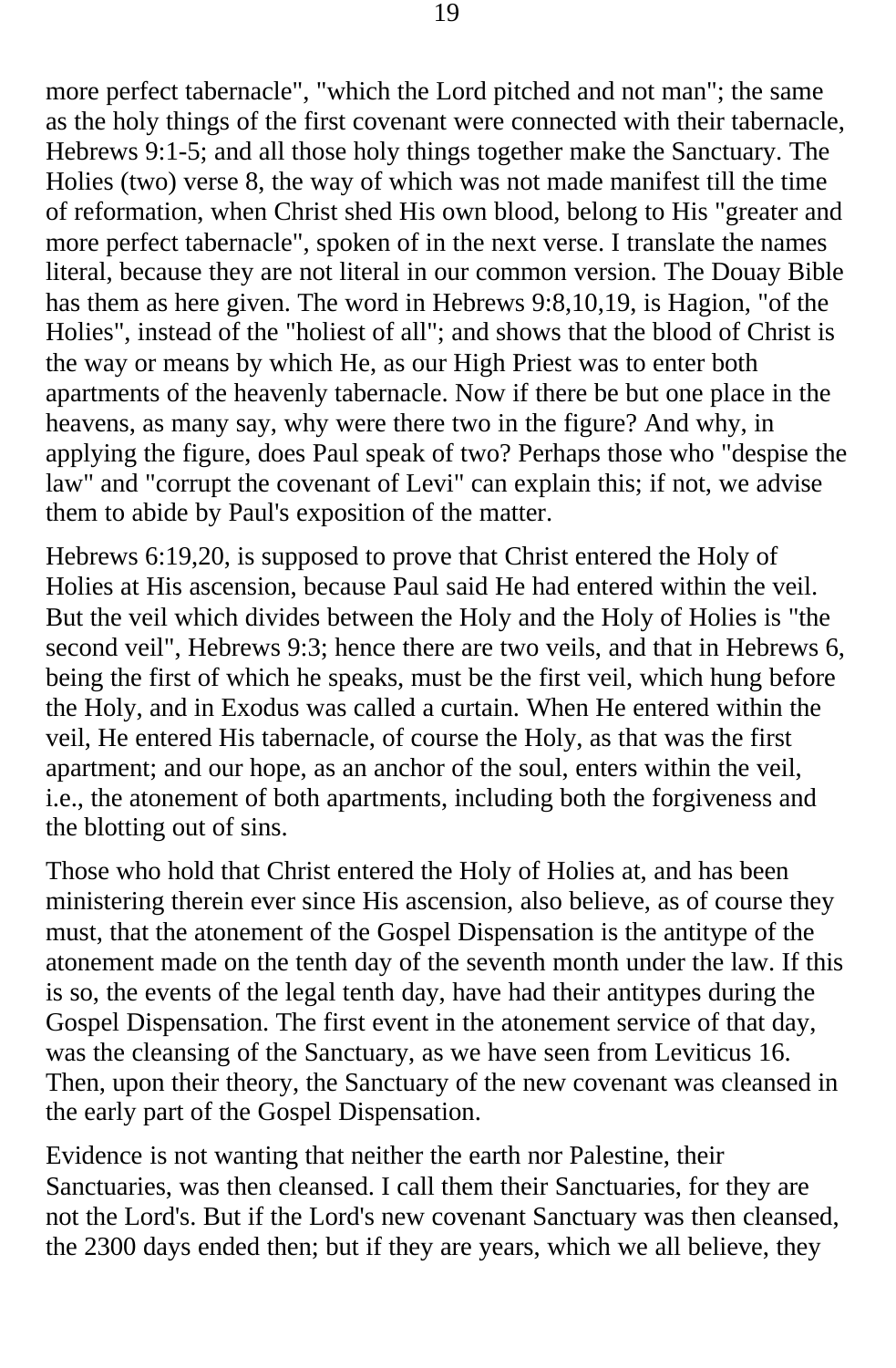more perfect tabernacle", "which the Lord pitched and not man"; the same as the holy things of the first covenant were connected with their tabernacle, Hebrews 9:1-5; and all those holy things together make the Sanctuary. The Holies (two) verse 8, the way of which was not made manifest till the time of reformation, when Christ shed His own blood, belong to His "greater and more perfect tabernacle", spoken of in the next verse. I translate the names literal, because they are not literal in our common version. The Douay Bible has them as here given. The word in Hebrews 9:8,10,19, is Hagion, "of the Holies", instead of the "holiest of all"; and shows that the blood of Christ is the way or means by which He, as our High Priest was to enter both apartments of the heavenly tabernacle. Now if there be but one place in the heavens, as many say, why were there two in the figure? And why, in applying the figure, does Paul speak of two? Perhaps those who "despise the law" and "corrupt the covenant of Levi" can explain this; if not, we advise them to abide by Paul's exposition of the matter.

Hebrews 6:19,20, is supposed to prove that Christ entered the Holy of Holies at His ascension, because Paul said He had entered within the veil. But the veil which divides between the Holy and the Holy of Holies is "the second veil", Hebrews 9:3; hence there are two veils, and that in Hebrews 6, being the first of which he speaks, must be the first veil, which hung before the Holy, and in Exodus was called a curtain. When He entered within the veil, He entered His tabernacle, of course the Holy, as that was the first apartment; and our hope, as an anchor of the soul, enters within the veil, i.e., the atonement of both apartments, including both the forgiveness and the blotting out of sins.

Those who hold that Christ entered the Holy of Holies at, and has been ministering therein ever since His ascension, also believe, as of course they must, that the atonement of the Gospel Dispensation is the antitype of the atonement made on the tenth day of the seventh month under the law. If this is so, the events of the legal tenth day, have had their antitypes during the Gospel Dispensation. The first event in the atonement service of that day, was the cleansing of the Sanctuary, as we have seen from Leviticus 16. Then, upon their theory, the Sanctuary of the new covenant was cleansed in the early part of the Gospel Dispensation.

Evidence is not wanting that neither the earth nor Palestine, their Sanctuaries, was then cleansed. I call them their Sanctuaries, for they are not the Lord's. But if the Lord's new covenant Sanctuary was then cleansed, the 2300 days ended then; but if they are years, which we all believe, they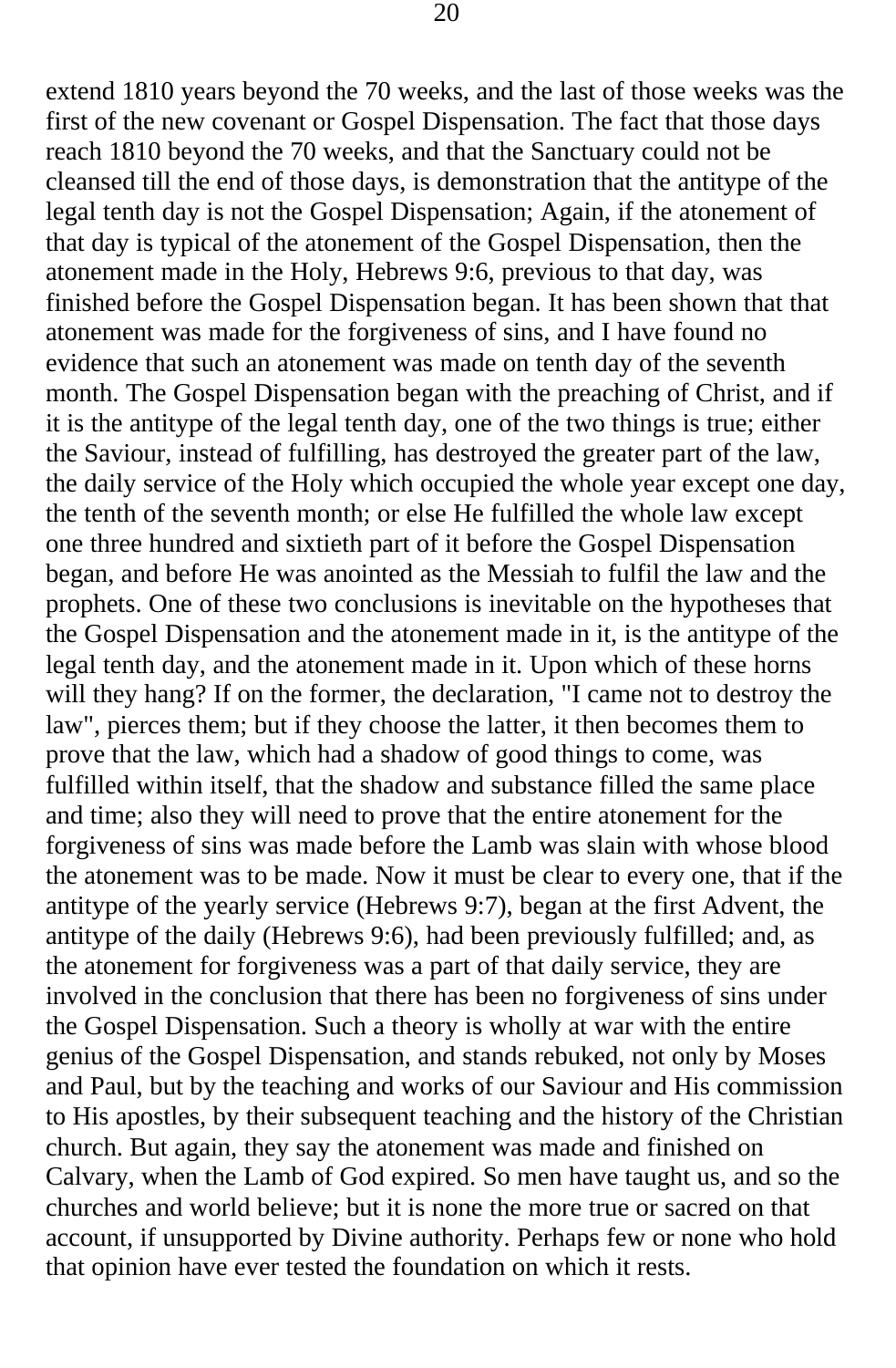extend 1810 years beyond the 70 weeks, and the last of those weeks was the first of the new covenant or Gospel Dispensation. The fact that those days reach 1810 beyond the 70 weeks, and that the Sanctuary could not be cleansed till the end of those days, is demonstration that the antitype of the legal tenth day is not the Gospel Dispensation; Again, if the atonement of that day is typical of the atonement of the Gospel Dispensation, then the atonement made in the Holy, Hebrews 9:6, previous to that day, was finished before the Gospel Dispensation began. It has been shown that that atonement was made for the forgiveness of sins, and I have found no evidence that such an atonement was made on tenth day of the seventh month. The Gospel Dispensation began with the preaching of Christ, and if it is the antitype of the legal tenth day, one of the two things is true; either the Saviour, instead of fulfilling, has destroyed the greater part of the law, the daily service of the Holy which occupied the whole year except one day, the tenth of the seventh month; or else He fulfilled the whole law except one three hundred and sixtieth part of it before the Gospel Dispensation began, and before He was anointed as the Messiah to fulfil the law and the prophets. One of these two conclusions is inevitable on the hypotheses that the Gospel Dispensation and the atonement made in it, is the antitype of the legal tenth day, and the atonement made in it. Upon which of these horns will they hang? If on the former, the declaration, "I came not to destroy the law", pierces them; but if they choose the latter, it then becomes them to prove that the law, which had a shadow of good things to come, was fulfilled within itself, that the shadow and substance filled the same place and time; also they will need to prove that the entire atonement for the forgiveness of sins was made before the Lamb was slain with whose blood the atonement was to be made. Now it must be clear to every one, that if the antitype of the yearly service (Hebrews 9:7), began at the first Advent, the antitype of the daily (Hebrews 9:6), had been previously fulfilled; and, as the atonement for forgiveness was a part of that daily service, they are involved in the conclusion that there has been no forgiveness of sins under the Gospel Dispensation. Such a theory is wholly at war with the entire genius of the Gospel Dispensation, and stands rebuked, not only by Moses and Paul, but by the teaching and works of our Saviour and His commission to His apostles, by their subsequent teaching and the history of the Christian church. But again, they say the atonement was made and finished on Calvary, when the Lamb of God expired. So men have taught us, and so the churches and world believe; but it is none the more true or sacred on that account, if unsupported by Divine authority. Perhaps few or none who hold that opinion have ever tested the foundation on which it rests.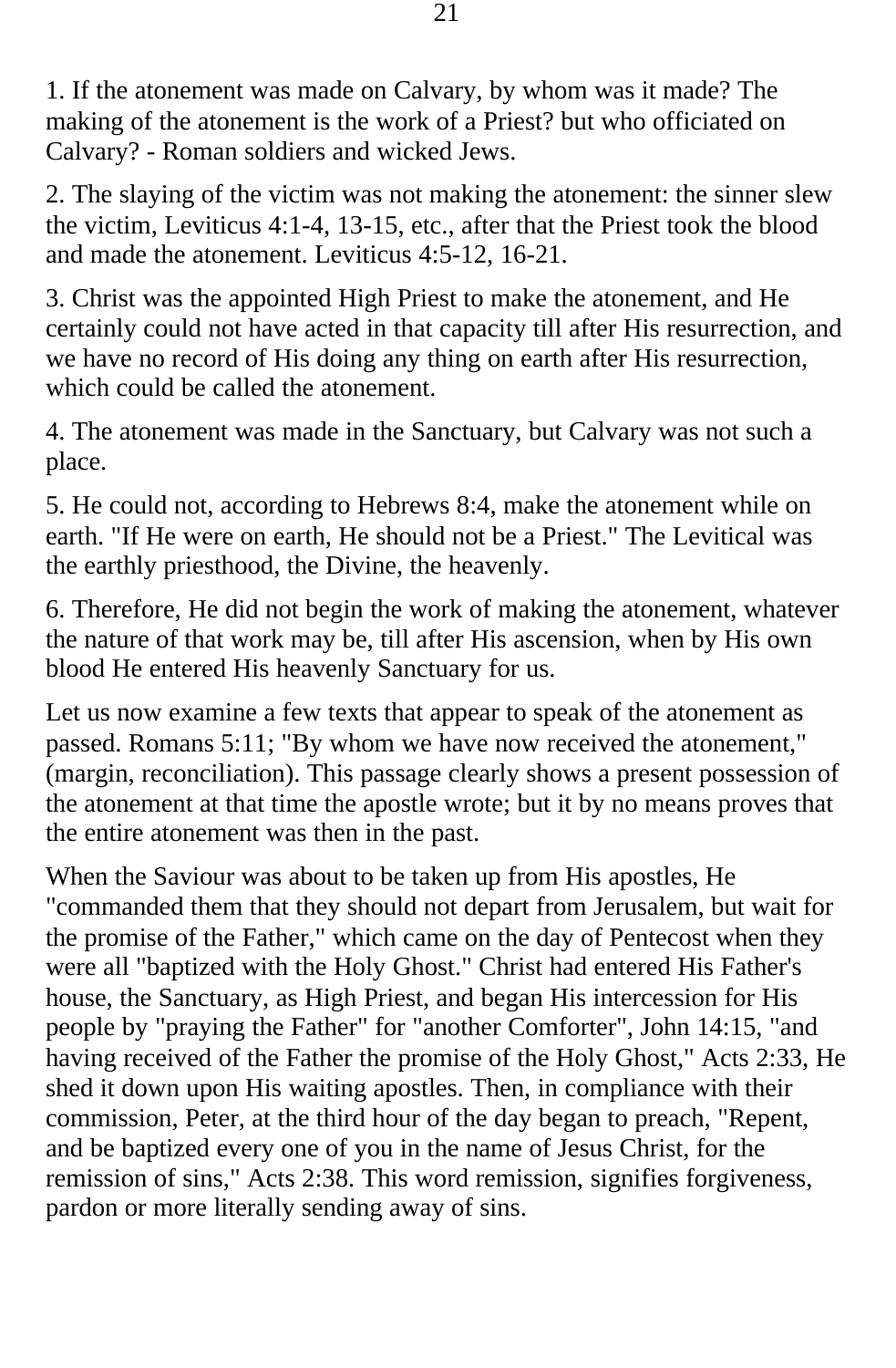1. If the atonement was made on Calvary, by whom was it made? The making of the atonement is the work of a Priest? but who officiated on Calvary? - Roman soldiers and wicked Jews.

2. The slaying of the victim was not making the atonement: the sinner slew the victim, Leviticus 4:1-4, 13-15, etc., after that the Priest took the blood and made the atonement. Leviticus 4:5-12, 16-21.

3. Christ was the appointed High Priest to make the atonement, and He certainly could not have acted in that capacity till after His resurrection, and we have no record of His doing any thing on earth after His resurrection, which could be called the atonement.

4. The atonement was made in the Sanctuary, but Calvary was not such a place.

5. He could not, according to Hebrews 8:4, make the atonement while on earth. "If He were on earth, He should not be a Priest." The Levitical was the earthly priesthood, the Divine, the heavenly.

6. Therefore, He did not begin the work of making the atonement, whatever the nature of that work may be, till after His ascension, when by His own blood He entered His heavenly Sanctuary for us.

Let us now examine a few texts that appear to speak of the atonement as passed. Romans 5:11; "By whom we have now received the atonement," (margin, reconciliation). This passage clearly shows a present possession of the atonement at that time the apostle wrote; but it by no means proves that the entire atonement was then in the past.

When the Saviour was about to be taken up from His apostles, He "commanded them that they should not depart from Jerusalem, but wait for the promise of the Father," which came on the day of Pentecost when they were all "baptized with the Holy Ghost." Christ had entered His Father's house, the Sanctuary, as High Priest, and began His intercession for His people by "praying the Father" for "another Comforter", John 14:15, "and having received of the Father the promise of the Holy Ghost," Acts 2:33, He shed it down upon His waiting apostles. Then, in compliance with their commission, Peter, at the third hour of the day began to preach, "Repent, and be baptized every one of you in the name of Jesus Christ, for the remission of sins," Acts 2:38. This word remission, signifies forgiveness, pardon or more literally sending away of sins.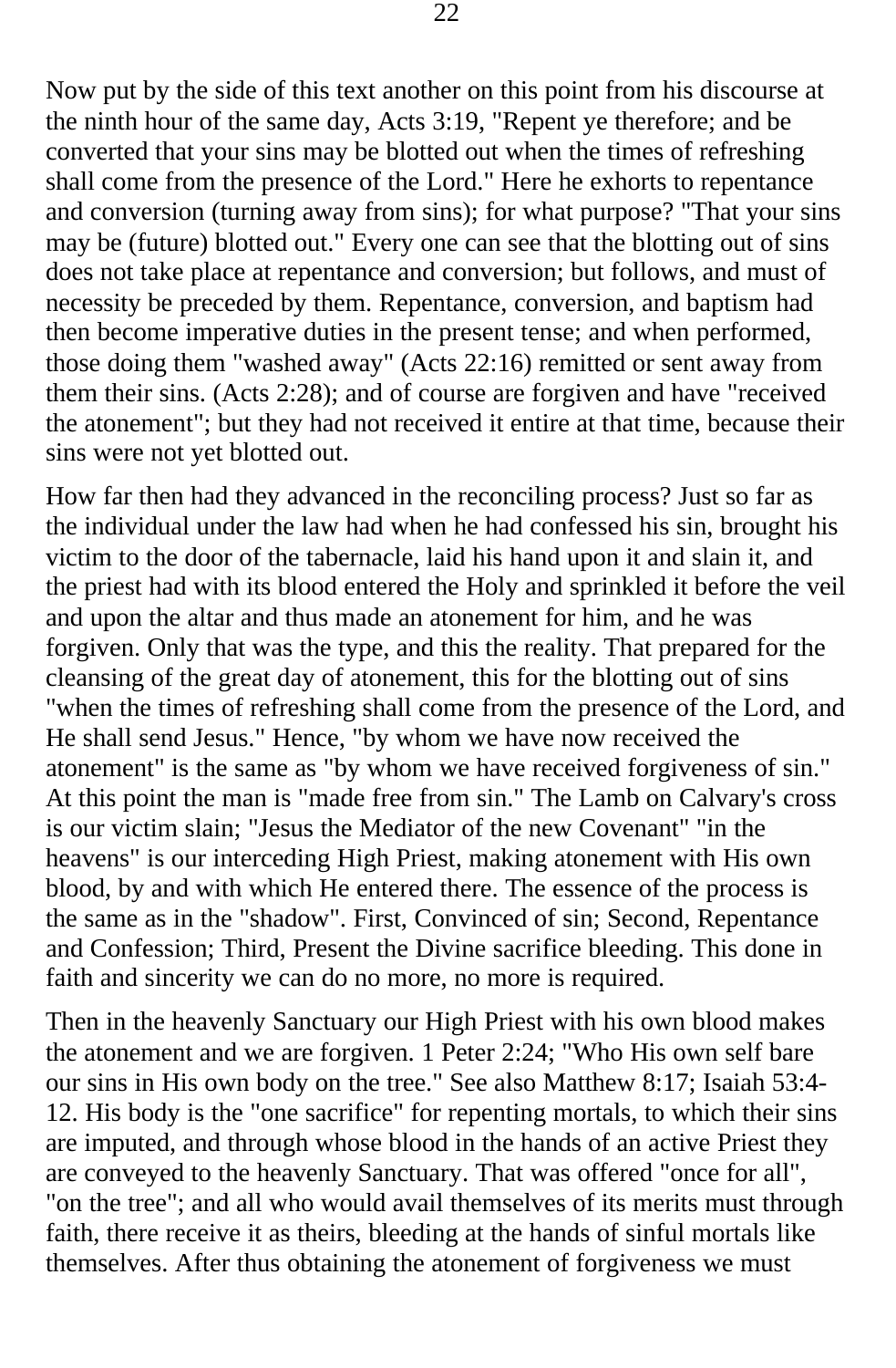Now put by the side of this text another on this point from his discourse at the ninth hour of the same day, Acts 3:19, "Repent ye therefore; and be converted that your sins may be blotted out when the times of refreshing shall come from the presence of the Lord." Here he exhorts to repentance and conversion (turning away from sins); for what purpose? "That your sins may be (future) blotted out." Every one can see that the blotting out of sins does not take place at repentance and conversion; but follows, and must of necessity be preceded by them. Repentance, conversion, and baptism had then become imperative duties in the present tense; and when performed, those doing them "washed away" (Acts 22:16) remitted or sent away from them their sins. (Acts 2:28); and of course are forgiven and have "received the atonement"; but they had not received it entire at that time, because their sins were not yet blotted out.

How far then had they advanced in the reconciling process? Just so far as the individual under the law had when he had confessed his sin, brought his victim to the door of the tabernacle, laid his hand upon it and slain it, and the priest had with its blood entered the Holy and sprinkled it before the veil and upon the altar and thus made an atonement for him, and he was forgiven. Only that was the type, and this the reality. That prepared for the cleansing of the great day of atonement, this for the blotting out of sins "when the times of refreshing shall come from the presence of the Lord, and He shall send Jesus." Hence, "by whom we have now received the atonement" is the same as "by whom we have received forgiveness of sin." At this point the man is "made free from sin." The Lamb on Calvary's cross is our victim slain; "Jesus the Mediator of the new Covenant" "in the heavens" is our interceding High Priest, making atonement with His own blood, by and with which He entered there. The essence of the process is the same as in the "shadow". First, Convinced of sin; Second, Repentance and Confession; Third, Present the Divine sacrifice bleeding. This done in faith and sincerity we can do no more, no more is required.

Then in the heavenly Sanctuary our High Priest with his own blood makes the atonement and we are forgiven. 1 Peter 2:24; "Who His own self bare our sins in His own body on the tree." See also Matthew 8:17; Isaiah 53:4- 12. His body is the "one sacrifice" for repenting mortals, to which their sins are imputed, and through whose blood in the hands of an active Priest they are conveyed to the heavenly Sanctuary. That was offered "once for all", "on the tree"; and all who would avail themselves of its merits must through faith, there receive it as theirs, bleeding at the hands of sinful mortals like themselves. After thus obtaining the atonement of forgiveness we must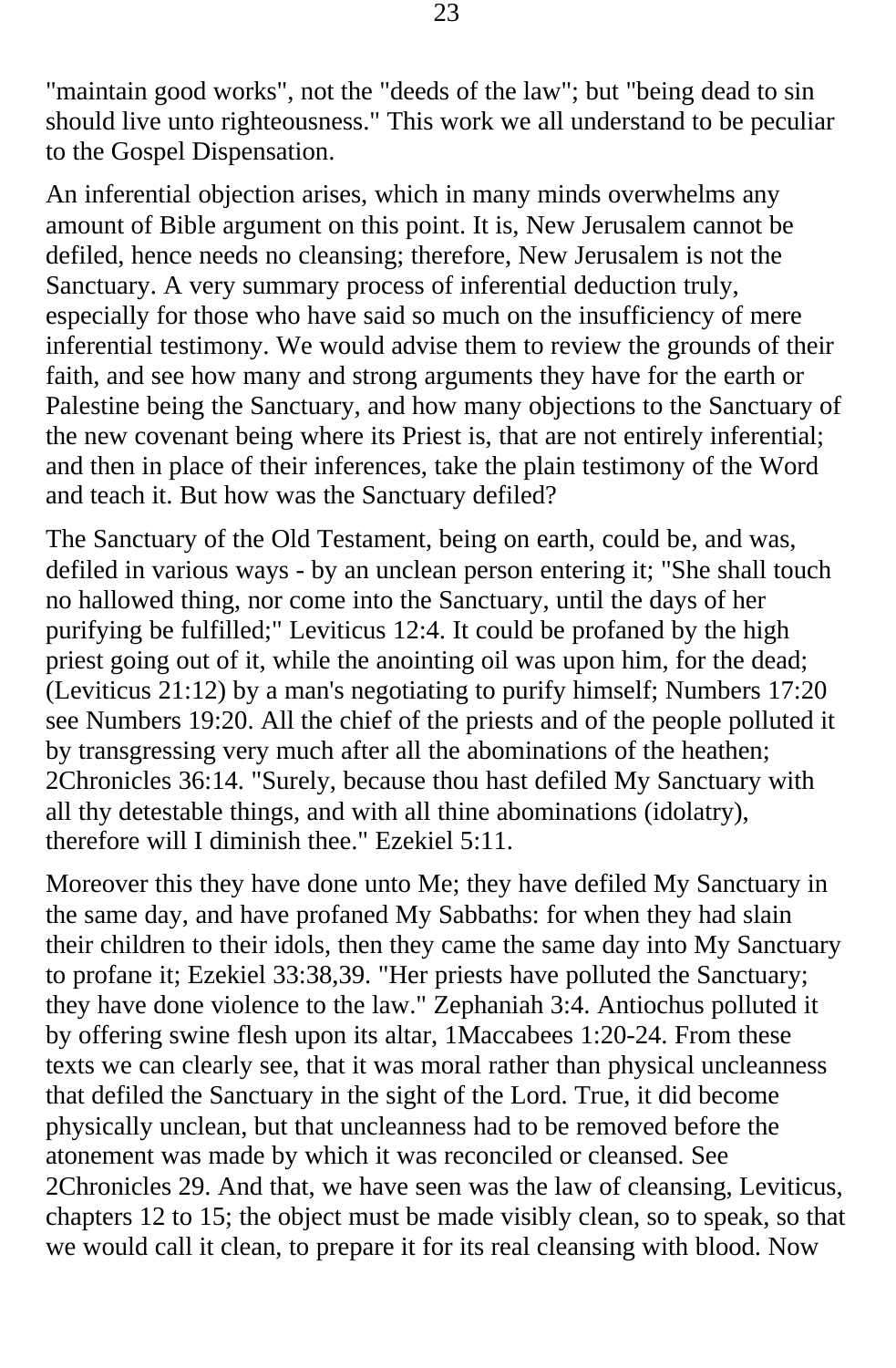"maintain good works", not the "deeds of the law"; but "being dead to sin should live unto righteousness." This work we all understand to be peculiar to the Gospel Dispensation.

An inferential objection arises, which in many minds overwhelms any amount of Bible argument on this point. It is, New Jerusalem cannot be defiled, hence needs no cleansing; therefore, New Jerusalem is not the Sanctuary. A very summary process of inferential deduction truly, especially for those who have said so much on the insufficiency of mere inferential testimony. We would advise them to review the grounds of their faith, and see how many and strong arguments they have for the earth or Palestine being the Sanctuary, and how many objections to the Sanctuary of the new covenant being where its Priest is, that are not entirely inferential; and then in place of their inferences, take the plain testimony of the Word and teach it. But how was the Sanctuary defiled?

The Sanctuary of the Old Testament, being on earth, could be, and was, defiled in various ways - by an unclean person entering it; "She shall touch no hallowed thing, nor come into the Sanctuary, until the days of her purifying be fulfilled;" Leviticus 12:4. It could be profaned by the high priest going out of it, while the anointing oil was upon him, for the dead; (Leviticus 21:12) by a man's negotiating to purify himself; Numbers 17:20 see Numbers 19:20. All the chief of the priests and of the people polluted it by transgressing very much after all the abominations of the heathen; 2Chronicles 36:14. "Surely, because thou hast defiled My Sanctuary with all thy detestable things, and with all thine abominations (idolatry), therefore will I diminish thee." Ezekiel 5:11.

Moreover this they have done unto Me; they have defiled My Sanctuary in the same day, and have profaned My Sabbaths: for when they had slain their children to their idols, then they came the same day into My Sanctuary to profane it; Ezekiel 33:38,39. "Her priests have polluted the Sanctuary; they have done violence to the law." Zephaniah 3:4. Antiochus polluted it by offering swine flesh upon its altar, 1Maccabees 1:20-24. From these texts we can clearly see, that it was moral rather than physical uncleanness that defiled the Sanctuary in the sight of the Lord. True, it did become physically unclean, but that uncleanness had to be removed before the atonement was made by which it was reconciled or cleansed. See 2Chronicles 29. And that, we have seen was the law of cleansing, Leviticus, chapters 12 to 15; the object must be made visibly clean, so to speak, so that we would call it clean, to prepare it for its real cleansing with blood. Now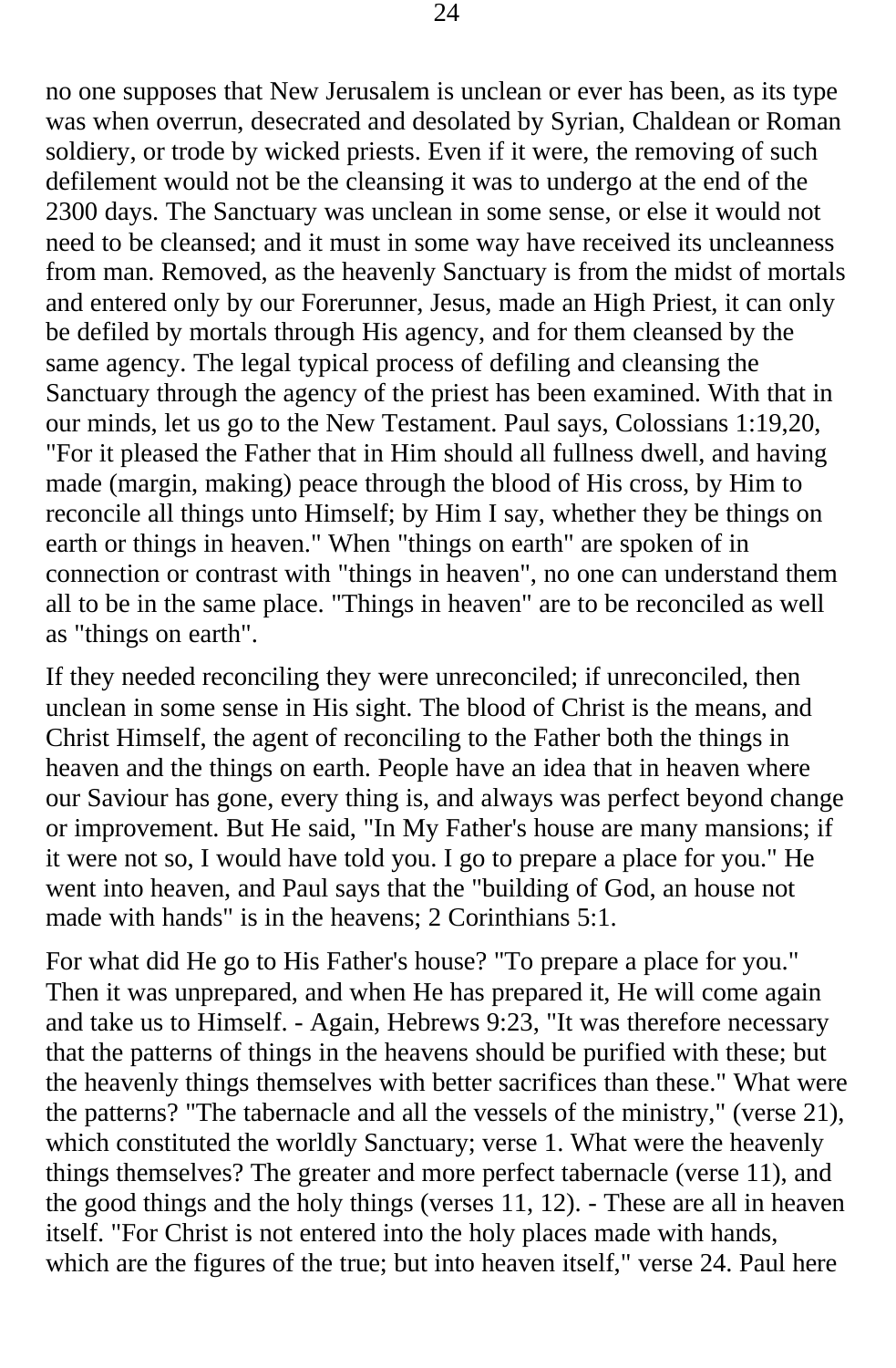no one supposes that New Jerusalem is unclean or ever has been, as its type was when overrun, desecrated and desolated by Syrian, Chaldean or Roman soldiery, or trode by wicked priests. Even if it were, the removing of such defilement would not be the cleansing it was to undergo at the end of the 2300 days. The Sanctuary was unclean in some sense, or else it would not need to be cleansed; and it must in some way have received its uncleanness from man. Removed, as the heavenly Sanctuary is from the midst of mortals and entered only by our Forerunner, Jesus, made an High Priest, it can only be defiled by mortals through His agency, and for them cleansed by the same agency. The legal typical process of defiling and cleansing the Sanctuary through the agency of the priest has been examined. With that in our minds, let us go to the New Testament. Paul says, Colossians 1:19,20, "For it pleased the Father that in Him should all fullness dwell, and having made (margin, making) peace through the blood of His cross, by Him to reconcile all things unto Himself; by Him I say, whether they be things on earth or things in heaven." When "things on earth" are spoken of in connection or contrast with "things in heaven", no one can understand them all to be in the same place. "Things in heaven" are to be reconciled as well as "things on earth".

If they needed reconciling they were unreconciled; if unreconciled, then unclean in some sense in His sight. The blood of Christ is the means, and Christ Himself, the agent of reconciling to the Father both the things in heaven and the things on earth. People have an idea that in heaven where our Saviour has gone, every thing is, and always was perfect beyond change or improvement. But He said, "In My Father's house are many mansions; if it were not so, I would have told you. I go to prepare a place for you." He went into heaven, and Paul says that the "building of God, an house not made with hands" is in the heavens; 2 Corinthians 5:1.

For what did He go to His Father's house? "To prepare a place for you." Then it was unprepared, and when He has prepared it, He will come again and take us to Himself. - Again, Hebrews 9:23, "It was therefore necessary that the patterns of things in the heavens should be purified with these; but the heavenly things themselves with better sacrifices than these." What were the patterns? "The tabernacle and all the vessels of the ministry," (verse 21), which constituted the worldly Sanctuary; verse 1. What were the heavenly things themselves? The greater and more perfect tabernacle (verse 11), and the good things and the holy things (verses 11, 12). - These are all in heaven itself. "For Christ is not entered into the holy places made with hands, which are the figures of the true; but into heaven itself," verse 24. Paul here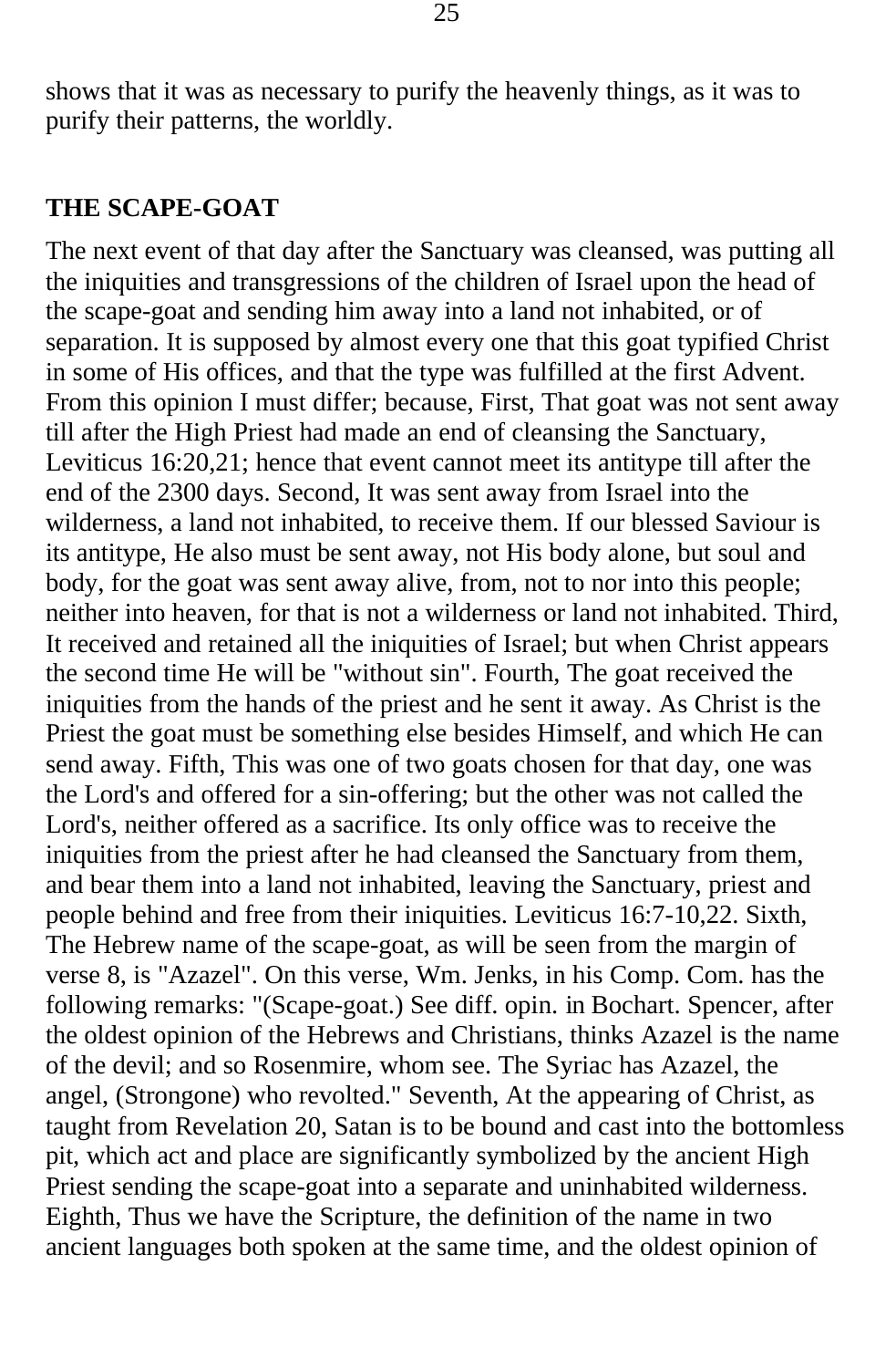shows that it was as necessary to purify the heavenly things, as it was to purify their patterns, the worldly.

#### **THE SCAPE-GOAT**

The next event of that day after the Sanctuary was cleansed, was putting all the iniquities and transgressions of the children of Israel upon the head of the scape-goat and sending him away into a land not inhabited, or of separation. It is supposed by almost every one that this goat typified Christ in some of His offices, and that the type was fulfilled at the first Advent. From this opinion I must differ; because, First, That goat was not sent away till after the High Priest had made an end of cleansing the Sanctuary, Leviticus 16:20,21; hence that event cannot meet its antitype till after the end of the 2300 days. Second, It was sent away from Israel into the wilderness, a land not inhabited, to receive them. If our blessed Saviour is its antitype, He also must be sent away, not His body alone, but soul and body, for the goat was sent away alive, from, not to nor into this people; neither into heaven, for that is not a wilderness or land not inhabited. Third, It received and retained all the iniquities of Israel; but when Christ appears the second time He will be "without sin". Fourth, The goat received the iniquities from the hands of the priest and he sent it away. As Christ is the Priest the goat must be something else besides Himself, and which He can send away. Fifth, This was one of two goats chosen for that day, one was the Lord's and offered for a sin-offering; but the other was not called the Lord's, neither offered as a sacrifice. Its only office was to receive the iniquities from the priest after he had cleansed the Sanctuary from them, and bear them into a land not inhabited, leaving the Sanctuary, priest and people behind and free from their iniquities. Leviticus 16:7-10,22. Sixth, The Hebrew name of the scape-goat, as will be seen from the margin of verse 8, is "Azazel". On this verse, Wm. Jenks, in his Comp. Com. has the following remarks: "(Scape-goat.) See diff. opin. in Bochart. Spencer, after the oldest opinion of the Hebrews and Christians, thinks Azazel is the name of the devil; and so Rosenmire, whom see. The Syriac has Azazel, the angel, (Strongone) who revolted." Seventh, At the appearing of Christ, as taught from Revelation 20, Satan is to be bound and cast into the bottomless pit, which act and place are significantly symbolized by the ancient High Priest sending the scape-goat into a separate and uninhabited wilderness. Eighth, Thus we have the Scripture, the definition of the name in two ancient languages both spoken at the same time, and the oldest opinion of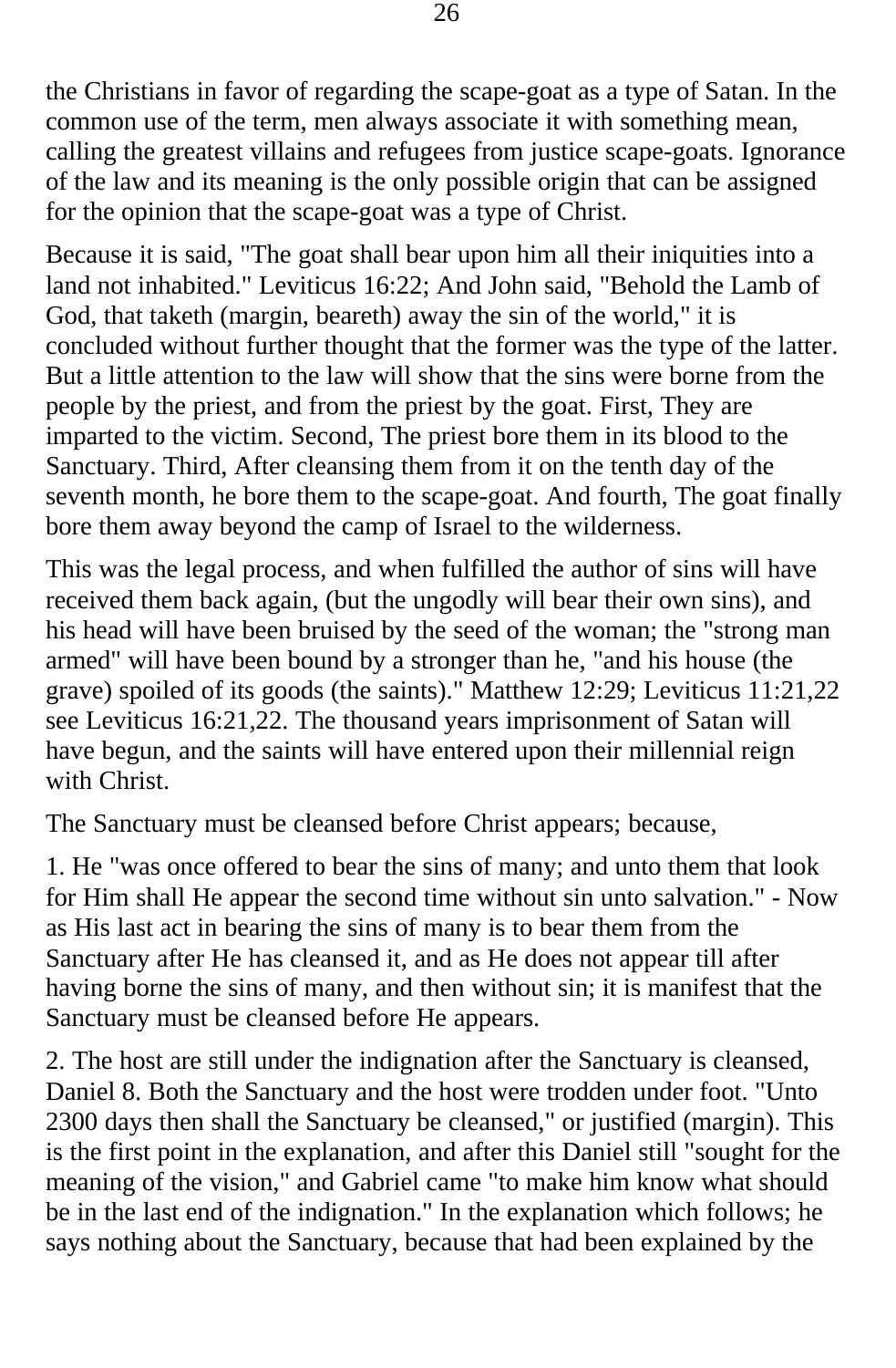the Christians in favor of regarding the scape-goat as a type of Satan. In the common use of the term, men always associate it with something mean, calling the greatest villains and refugees from justice scape-goats. Ignorance of the law and its meaning is the only possible origin that can be assigned for the opinion that the scape-goat was a type of Christ.

Because it is said, "The goat shall bear upon him all their iniquities into a land not inhabited." Leviticus 16:22; And John said, "Behold the Lamb of God, that taketh (margin, beareth) away the sin of the world," it is concluded without further thought that the former was the type of the latter. But a little attention to the law will show that the sins were borne from the people by the priest, and from the priest by the goat. First, They are imparted to the victim. Second, The priest bore them in its blood to the Sanctuary. Third, After cleansing them from it on the tenth day of the seventh month, he bore them to the scape-goat. And fourth, The goat finally bore them away beyond the camp of Israel to the wilderness.

This was the legal process, and when fulfilled the author of sins will have received them back again, (but the ungodly will bear their own sins), and his head will have been bruised by the seed of the woman; the "strong man armed" will have been bound by a stronger than he, "and his house (the grave) spoiled of its goods (the saints)." Matthew 12:29; Leviticus 11:21,22 see Leviticus 16:21,22. The thousand years imprisonment of Satan will have begun, and the saints will have entered upon their millennial reign with Christ.

The Sanctuary must be cleansed before Christ appears; because,

1. He "was once offered to bear the sins of many; and unto them that look for Him shall He appear the second time without sin unto salvation." - Now as His last act in bearing the sins of many is to bear them from the Sanctuary after He has cleansed it, and as He does not appear till after having borne the sins of many, and then without sin; it is manifest that the Sanctuary must be cleansed before He appears.

2. The host are still under the indignation after the Sanctuary is cleansed, Daniel 8. Both the Sanctuary and the host were trodden under foot. "Unto 2300 days then shall the Sanctuary be cleansed," or justified (margin). This is the first point in the explanation, and after this Daniel still "sought for the meaning of the vision," and Gabriel came "to make him know what should be in the last end of the indignation." In the explanation which follows; he says nothing about the Sanctuary, because that had been explained by the